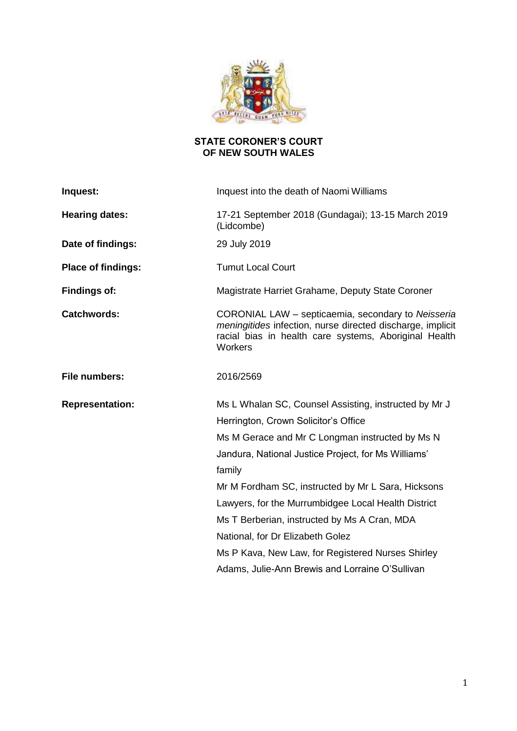

# **STATE CORONER'S COURT OF NEW SOUTH WALES**

| Inquest:                  | Inquest into the death of Naomi Williams                                                                                                                                                                                                                                                                                                                                                                                                                                                                                   |
|---------------------------|----------------------------------------------------------------------------------------------------------------------------------------------------------------------------------------------------------------------------------------------------------------------------------------------------------------------------------------------------------------------------------------------------------------------------------------------------------------------------------------------------------------------------|
| <b>Hearing dates:</b>     | 17-21 September 2018 (Gundagai); 13-15 March 2019<br>(Lidcombe)                                                                                                                                                                                                                                                                                                                                                                                                                                                            |
| Date of findings:         | 29 July 2019                                                                                                                                                                                                                                                                                                                                                                                                                                                                                                               |
| <b>Place of findings:</b> | <b>Tumut Local Court</b>                                                                                                                                                                                                                                                                                                                                                                                                                                                                                                   |
| <b>Findings of:</b>       | Magistrate Harriet Grahame, Deputy State Coroner                                                                                                                                                                                                                                                                                                                                                                                                                                                                           |
| <b>Catchwords:</b>        | CORONIAL LAW - septicaemia, secondary to Neisseria<br>meningitides infection, nurse directed discharge, implicit<br>racial bias in health care systems, Aboriginal Health<br>Workers                                                                                                                                                                                                                                                                                                                                       |
| File numbers:             | 2016/2569                                                                                                                                                                                                                                                                                                                                                                                                                                                                                                                  |
| <b>Representation:</b>    | Ms L Whalan SC, Counsel Assisting, instructed by Mr J<br>Herrington, Crown Solicitor's Office<br>Ms M Gerace and Mr C Longman instructed by Ms N<br>Jandura, National Justice Project, for Ms Williams'<br>family<br>Mr M Fordham SC, instructed by Mr L Sara, Hicksons<br>Lawyers, for the Murrumbidgee Local Health District<br>Ms T Berberian, instructed by Ms A Cran, MDA<br>National, for Dr Elizabeth Golez<br>Ms P Kava, New Law, for Registered Nurses Shirley<br>Adams, Julie-Ann Brewis and Lorraine O'Sullivan |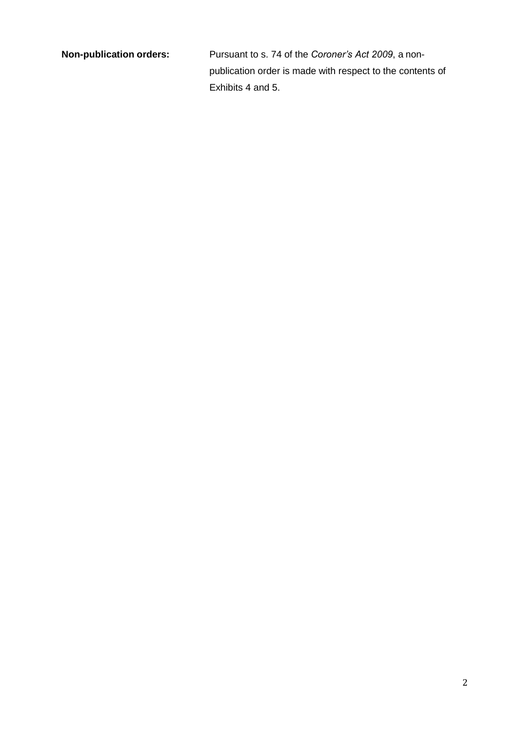**Non-publication orders:** Pursuant to s. 74 of the *Coroner's Act 2009*, a nonpublication order is made with respect to the contents of Exhibits 4 and 5.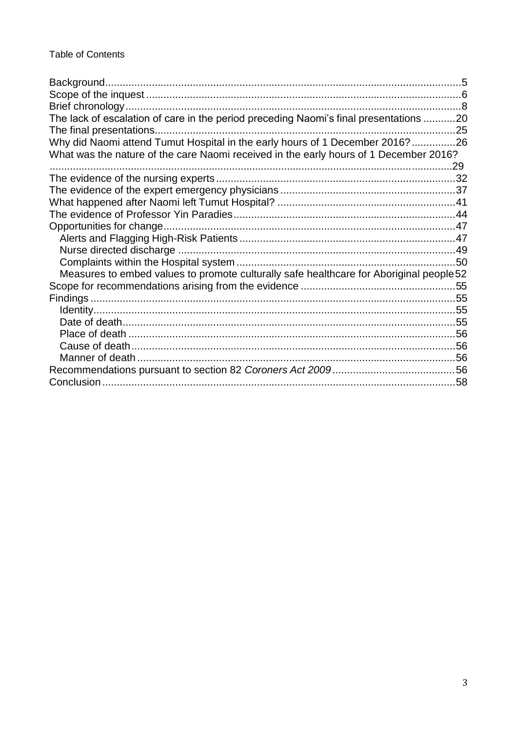| The lack of escalation of care in the period preceding Naomi's final presentations 20   |  |
|-----------------------------------------------------------------------------------------|--|
|                                                                                         |  |
| Why did Naomi attend Tumut Hospital in the early hours of 1 December 2016?26            |  |
| What was the nature of the care Naomi received in the early hours of 1 December 2016?   |  |
|                                                                                         |  |
|                                                                                         |  |
|                                                                                         |  |
|                                                                                         |  |
|                                                                                         |  |
|                                                                                         |  |
|                                                                                         |  |
|                                                                                         |  |
|                                                                                         |  |
| Measures to embed values to promote culturally safe healthcare for Aboriginal people 52 |  |
|                                                                                         |  |
|                                                                                         |  |
|                                                                                         |  |
|                                                                                         |  |
|                                                                                         |  |
|                                                                                         |  |
|                                                                                         |  |
|                                                                                         |  |
|                                                                                         |  |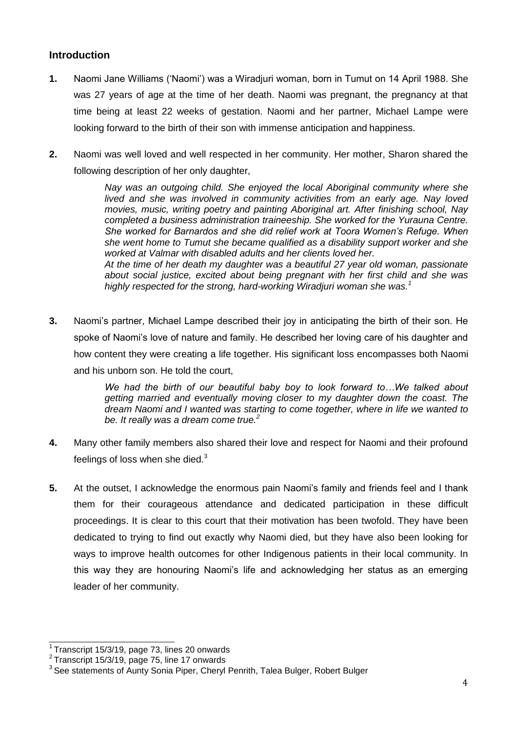# **Introduction**

- **1.** Naomi Jane Williams ('Naomi') was a Wiradjuri woman, born in Tumut on 14 April 1988. She was 27 years of age at the time of her death. Naomi was pregnant, the pregnancy at that time being at least 22 weeks of gestation. Naomi and her partner, Michael Lampe were looking forward to the birth of their son with immense anticipation and happiness.
- **2.** Naomi was well loved and well respected in her community. Her mother, Sharon shared the following description of her only daughter,

*Nay was an outgoing child. She enjoyed the local Aboriginal community where she lived and she was involved in community activities from an early age. Nay loved movies, music, writing poetry and painting Aboriginal art. After finishing school, Nay completed a business administration traineeship. She worked for the Yurauna Centre. She worked for Barnardos and she did relief work at Toora Women's Refuge. When she went home to Tumut she became qualified as a disability support worker and she worked at Valmar with disabled adults and her clients loved her. At the time of her death my daughter was a beautiful 27 year old woman, passionate* 

*about social justice, excited about being pregnant with her first child and she was highly respected for the strong, hard-working Wiradjuri woman she was.<sup>1</sup>*

**3.** Naomi's partner, Michael Lampe described their joy in anticipating the birth of their son. He spoke of Naomi's love of nature and family. He described her loving care of his daughter and how content they were creating a life together. His significant loss encompasses both Naomi and his unborn son. He told the court,

> *We had the birth of our beautiful baby boy to look forward to…We talked about getting married and eventually moving closer to my daughter down the coast. The dream Naomi and I wanted was starting to come together, where in life we wanted to be. It really was a dream come true.<sup>2</sup>*

- **4.** Many other family members also shared their love and respect for Naomi and their profound feelings of loss when she died. $3$
- **5.** At the outset, I acknowledge the enormous pain Naomi's family and friends feel and I thank them for their courageous attendance and dedicated participation in these difficult proceedings. It is clear to this court that their motivation has been twofold. They have been dedicated to trying to find out exactly why Naomi died, but they have also been looking for ways to improve health outcomes for other Indigenous patients in their local community. In this way they are honouring Naomi's life and acknowledging her status as an emerging leader of her community.

 $1$ Transcript 15/3/19, page 73, lines 20 onwards

 $2$  Transcript 15/3/19, page 75, line 17 onwards

<sup>&</sup>lt;sup>3</sup> See statements of Aunty Sonia Piper, Cheryl Penrith, Talea Bulger, Robert Bulger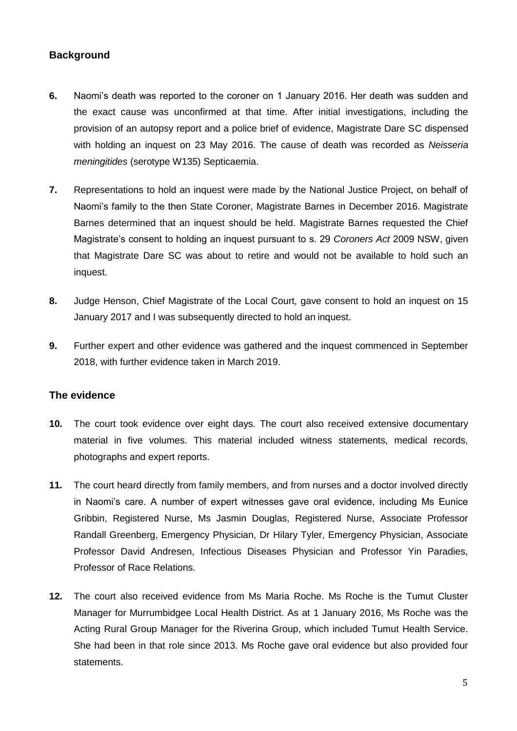# <span id="page-4-0"></span>**Background**

- **6.** Naomi's death was reported to the coroner on 1 January 2016. Her death was sudden and the exact cause was unconfirmed at that time. After initial investigations, including the provision of an autopsy report and a police brief of evidence, Magistrate Dare SC dispensed with holding an inquest on 23 May 2016. The cause of death was recorded as *Neisseria meningitides* (serotype W135) Septicaemia.
- **7.** Representations to hold an inquest were made by the National Justice Project, on behalf of Naomi's family to the then State Coroner, Magistrate Barnes in December 2016. Magistrate Barnes determined that an inquest should be held. Magistrate Barnes requested the Chief Magistrate's consent to holding an inquest pursuant to s. 29 *Coroners Act* 2009 NSW, given that Magistrate Dare SC was about to retire and would not be available to hold such an inquest.
- **8.** Judge Henson, Chief Magistrate of the Local Court, gave consent to hold an inquest on 15 January 2017 and I was subsequently directed to hold an inquest.
- **9.** Further expert and other evidence was gathered and the inquest commenced in September 2018, with further evidence taken in March 2019.

# **The evidence**

- **10.** The court took evidence over eight days. The court also received extensive documentary material in five volumes. This material included witness statements, medical records, photographs and expert reports.
- **11.** The court heard directly from family members, and from nurses and a doctor involved directly in Naomi's care. A number of expert witnesses gave oral evidence, including Ms Eunice Gribbin, Registered Nurse, Ms Jasmin Douglas, Registered Nurse, Associate Professor Randall Greenberg, Emergency Physician, Dr Hilary Tyler, Emergency Physician, Associate Professor David Andresen, Infectious Diseases Physician and Professor Yin Paradies, Professor of Race Relations.
- **12.** The court also received evidence from Ms Maria Roche. Ms Roche is the Tumut Cluster Manager for Murrumbidgee Local Health District. As at 1 January 2016, Ms Roche was the Acting Rural Group Manager for the Riverina Group, which included Tumut Health Service. She had been in that role since 2013. Ms Roche gave oral evidence but also provided four statements.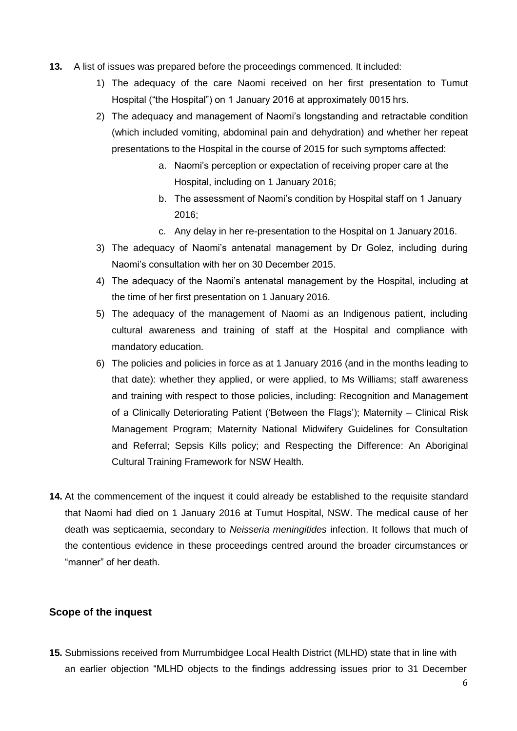- **13.** A list of issues was prepared before the proceedings commenced. It included:
	- 1) The adequacy of the care Naomi received on her first presentation to Tumut Hospital ("the Hospital") on 1 January 2016 at approximately 0015 hrs.
	- 2) The adequacy and management of Naomi's longstanding and retractable condition (which included vomiting, abdominal pain and dehydration) and whether her repeat presentations to the Hospital in the course of 2015 for such symptoms affected:
		- a. Naomi's perception or expectation of receiving proper care at the Hospital, including on 1 January 2016;
		- b. The assessment of Naomi's condition by Hospital staff on 1 January 2016;
		- c. Any delay in her re-presentation to the Hospital on 1 January 2016.
	- 3) The adequacy of Naomi's antenatal management by Dr Golez, including during Naomi's consultation with her on 30 December 2015.
	- 4) The adequacy of the Naomi's antenatal management by the Hospital, including at the time of her first presentation on 1 January 2016.
	- 5) The adequacy of the management of Naomi as an Indigenous patient, including cultural awareness and training of staff at the Hospital and compliance with mandatory education.
	- 6) The policies and policies in force as at 1 January 2016 (and in the months leading to that date): whether they applied, or were applied, to Ms Williams; staff awareness and training with respect to those policies, including: Recognition and Management of a Clinically Deteriorating Patient ('Between the Flags'); Maternity – Clinical Risk Management Program; Maternity National Midwifery Guidelines for Consultation and Referral; Sepsis Kills policy; and Respecting the Difference: An Aboriginal Cultural Training Framework for NSW Health.
- **14.** At the commencement of the inquest it could already be established to the requisite standard that Naomi had died on 1 January 2016 at Tumut Hospital, NSW. The medical cause of her death was septicaemia, secondary to *Neisseria meningitides* infection. It follows that much of the contentious evidence in these proceedings centred around the broader circumstances or "manner" of her death.

## <span id="page-5-0"></span>**Scope of the inquest**

**15.** Submissions received from Murrumbidgee Local Health District (MLHD) state that in line with an earlier objection "MLHD objects to the findings addressing issues prior to 31 December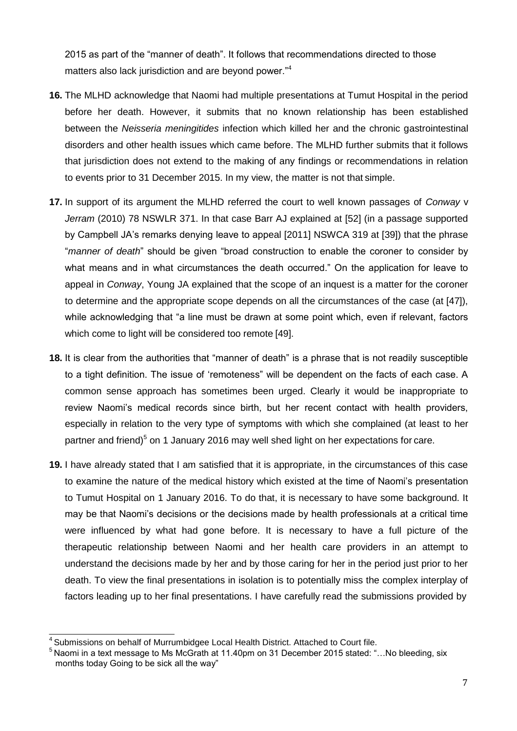2015 as part of the "manner of death". It follows that recommendations directed to those matters also lack jurisdiction and are beyond power.<sup>"4</sup>

- **16.** The MLHD acknowledge that Naomi had multiple presentations at Tumut Hospital in the period before her death. However, it submits that no known relationship has been established between the *Neisseria meningitides* infection which killed her and the chronic gastrointestinal disorders and other health issues which came before. The MLHD further submits that it follows that jurisdiction does not extend to the making of any findings or recommendations in relation to events prior to 31 December 2015. In my view, the matter is not that simple.
- **17.** In support of its argument the MLHD referred the court to well known passages of *Conway* v *Jerram* (2010) 78 NSWLR 371. In that case Barr AJ explained at [52] (in a passage supported by Campbell JA's remarks denying leave to appeal [2011] NSWCA 319 at [39]) that the phrase "*manner of death*" should be given "broad construction to enable the coroner to consider by what means and in what circumstances the death occurred." On the application for leave to appeal in *Conway*, Young JA explained that the scope of an inquest is a matter for the coroner to determine and the appropriate scope depends on all the circumstances of the case (at [47]), while acknowledging that "a line must be drawn at some point which, even if relevant, factors which come to light will be considered too remote [49].
- **18.** It is clear from the authorities that "manner of death" is a phrase that is not readily susceptible to a tight definition. The issue of 'remoteness" will be dependent on the facts of each case. A common sense approach has sometimes been urged. Clearly it would be inappropriate to review Naomi's medical records since birth, but her recent contact with health providers, especially in relation to the very type of symptoms with which she complained (at least to her partner and friend)<sup>5</sup> on 1 January 2016 may well shed light on her expectations for care.
- **19.** I have already stated that I am satisfied that it is appropriate, in the circumstances of this case to examine the nature of the medical history which existed at the time of Naomi's presentation to Tumut Hospital on 1 January 2016. To do that, it is necessary to have some background. It may be that Naomi's decisions or the decisions made by health professionals at a critical time were influenced by what had gone before. It is necessary to have a full picture of the therapeutic relationship between Naomi and her health care providers in an attempt to understand the decisions made by her and by those caring for her in the period just prior to her death. To view the final presentations in isolation is to potentially miss the complex interplay of factors leading up to her final presentations. I have carefully read the submissions provided by

<sup>&</sup>lt;sup>4</sup> Submissions on behalf of Murrumbidgee Local Health District. Attached to Court file.

<sup>&</sup>lt;sup>5</sup> Naomi in a text message to Ms McGrath at 11.40pm on 31 December 2015 stated: "...No bleeding, six months today Going to be sick all the way"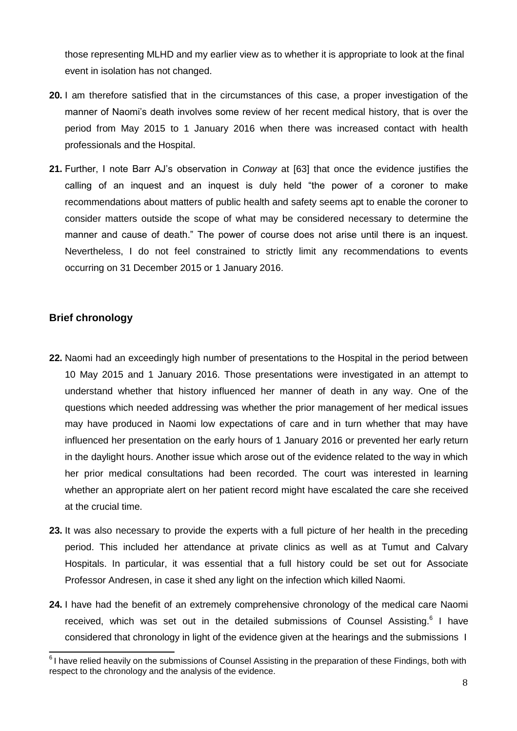those representing MLHD and my earlier view as to whether it is appropriate to look at the final event in isolation has not changed.

- **20.** I am therefore satisfied that in the circumstances of this case, a proper investigation of the manner of Naomi's death involves some review of her recent medical history, that is over the period from May 2015 to 1 January 2016 when there was increased contact with health professionals and the Hospital.
- **21.** Further, I note Barr AJ's observation in *Conway* at [63] that once the evidence justifies the calling of an inquest and an inquest is duly held "the power of a coroner to make recommendations about matters of public health and safety seems apt to enable the coroner to consider matters outside the scope of what may be considered necessary to determine the manner and cause of death." The power of course does not arise until there is an inquest. Nevertheless, I do not feel constrained to strictly limit any recommendations to events occurring on 31 December 2015 or 1 January 2016.

# <span id="page-7-0"></span>**Brief chronology**

- **22.** Naomi had an exceedingly high number of presentations to the Hospital in the period between 10 May 2015 and 1 January 2016. Those presentations were investigated in an attempt to understand whether that history influenced her manner of death in any way. One of the questions which needed addressing was whether the prior management of her medical issues may have produced in Naomi low expectations of care and in turn whether that may have influenced her presentation on the early hours of 1 January 2016 or prevented her early return in the daylight hours. Another issue which arose out of the evidence related to the way in which her prior medical consultations had been recorded. The court was interested in learning whether an appropriate alert on her patient record might have escalated the care she received at the crucial time.
- **23.** It was also necessary to provide the experts with a full picture of her health in the preceding period. This included her attendance at private clinics as well as at Tumut and Calvary Hospitals. In particular, it was essential that a full history could be set out for Associate Professor Andresen, in case it shed any light on the infection which killed Naomi.
- **24.** I have had the benefit of an extremely comprehensive chronology of the medical care Naomi received, which was set out in the detailed submissions of Counsel Assisting.<sup>6</sup> I have considered that chronology in light of the evidence given at the hearings and the submissions I

 $6$ I have relied heavily on the submissions of Counsel Assisting in the preparation of these Findings, both with respect to the chronology and the analysis of the evidence.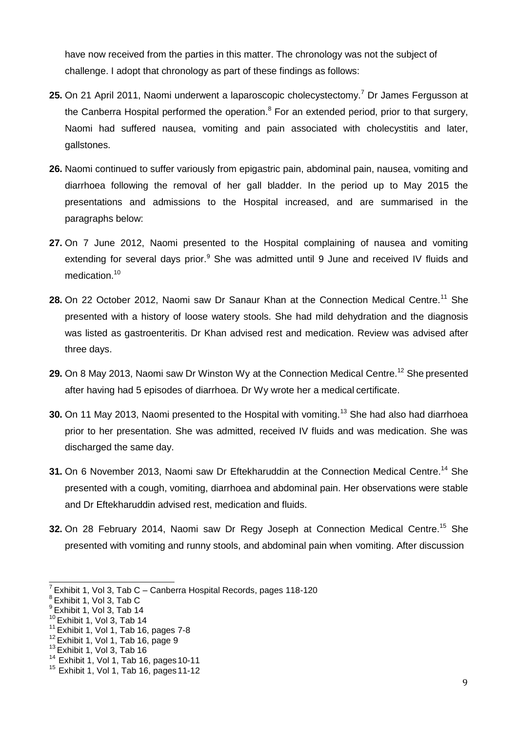have now received from the parties in this matter. The chronology was not the subject of challenge. I adopt that chronology as part of these findings as follows:

- 25. On 21 April 2011, Naomi underwent a laparoscopic cholecystectomy.<sup>7</sup> Dr James Fergusson at the Canberra Hospital performed the operation. $8$  For an extended period, prior to that surgery, Naomi had suffered nausea, vomiting and pain associated with cholecystitis and later, gallstones.
- **26.** Naomi continued to suffer variously from epigastric pain, abdominal pain, nausea, vomiting and diarrhoea following the removal of her gall bladder. In the period up to May 2015 the presentations and admissions to the Hospital increased, and are summarised in the paragraphs below:
- **27.** On 7 June 2012, Naomi presented to the Hospital complaining of nausea and vomiting extending for several days prior. $9$  She was admitted until 9 June and received IV fluids and medication.<sup>10</sup>
- 28. On 22 October 2012, Naomi saw Dr Sanaur Khan at the Connection Medical Centre.<sup>11</sup> She presented with a history of loose watery stools. She had mild dehydration and the diagnosis was listed as gastroenteritis. Dr Khan advised rest and medication. Review was advised after three days.
- 29. On 8 May 2013, Naomi saw Dr Winston Wy at the Connection Medical Centre.<sup>12</sup> She presented after having had 5 episodes of diarrhoea. Dr Wy wrote her a medical certificate.
- **30.** On 11 May 2013, Naomi presented to the Hospital with vomiting.<sup>13</sup> She had also had diarrhoea prior to her presentation. She was admitted, received IV fluids and was medication. She was discharged the same day.
- **31.** On 6 November 2013, Naomi saw Dr Eftekharuddin at the Connection Medical Centre.<sup>14</sup> She presented with a cough, vomiting, diarrhoea and abdominal pain. Her observations were stable and Dr Eftekharuddin advised rest, medication and fluids.
- **32.** On 28 February 2014, Naomi saw Dr Regy Joseph at Connection Medical Centre.<sup>15</sup> She presented with vomiting and runny stools, and abdominal pain when vomiting. After discussion

 $7$  Exhibit 1, Vol 3, Tab C – Canberra Hospital Records, pages 118-120

 $^8$ Exhibit 1, Vol 3, Tab C

 $^9$ Exhibit 1, Vol 3, Tab 14

 $10$  Exhibit 1, Vol 3, Tab 14

 $11$  Exhibit 1, Vol 1, Tab 16, pages 7-8

 $12$  Exhibit 1, Vol 1, Tab 16, page 9

<sup>&</sup>lt;sup>13</sup> Exhibit 1, Vol 3, Tab 16

 $14$  Exhibit 1, Vol 1, Tab 16, pages 10-11

 $15$  Exhibit 1, Vol 1, Tab 16, pages 11-12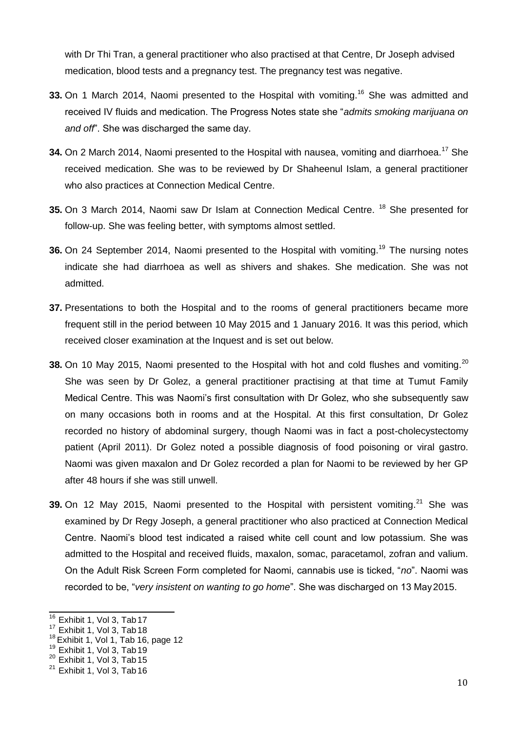with Dr Thi Tran, a general practitioner who also practised at that Centre, Dr Joseph advised medication, blood tests and a pregnancy test. The pregnancy test was negative.

- **33.** On 1 March 2014, Naomi presented to the Hospital with vomiting.<sup>16</sup> She was admitted and received IV fluids and medication. The Progress Notes state she "*admits smoking marijuana on and off*". She was discharged the same day.
- **34.** On 2 March 2014, Naomi presented to the Hospital with nausea, vomiting and diarrhoea.<sup>17</sup> She received medication. She was to be reviewed by Dr Shaheenul Islam, a general practitioner who also practices at Connection Medical Centre.
- **35.** On 3 March 2014, Naomi saw Dr Islam at Connection Medical Centre. <sup>18</sup> She presented for follow-up. She was feeling better, with symptoms almost settled.
- **36.** On 24 September 2014, Naomi presented to the Hospital with vomiting.<sup>19</sup> The nursing notes indicate she had diarrhoea as well as shivers and shakes. She medication. She was not admitted.
- **37.** Presentations to both the Hospital and to the rooms of general practitioners became more frequent still in the period between 10 May 2015 and 1 January 2016. It was this period, which received closer examination at the Inquest and is set out below.
- **38.** On 10 May 2015, Naomi presented to the Hospital with hot and cold flushes and vomiting.<sup>20</sup> She was seen by Dr Golez, a general practitioner practising at that time at Tumut Family Medical Centre. This was Naomi's first consultation with Dr Golez, who she subsequently saw on many occasions both in rooms and at the Hospital. At this first consultation, Dr Golez recorded no history of abdominal surgery, though Naomi was in fact a post-cholecystectomy patient (April 2011). Dr Golez noted a possible diagnosis of food poisoning or viral gastro. Naomi was given maxalon and Dr Golez recorded a plan for Naomi to be reviewed by her GP after 48 hours if she was still unwell.
- **39.** On 12 May 2015, Naomi presented to the Hospital with persistent vomiting.<sup>21</sup> She was examined by Dr Regy Joseph, a general practitioner who also practiced at Connection Medical Centre. Naomi's blood test indicated a raised white cell count and low potassium. She was admitted to the Hospital and received fluids, maxalon, somac, paracetamol, zofran and valium. On the Adult Risk Screen Form completed for Naomi, cannabis use is ticked, "*no*". Naomi was recorded to be, "*very insistent on wanting to go home*". She was discharged on 13 May2015.

 $16$  Exhibit 1, Vol 3, Tab 17

 $17$  Exhibit 1, Vol 3, Tab 18

 $18$  Exhibit 1, Vol 1, Tab 16, page 12

 $19$  Exhibit 1, Vol 3, Tab 19

 $20$  Exhibit 1, Vol 3, Tab 15

 $21$  Exhibit 1, Vol 3, Tab 16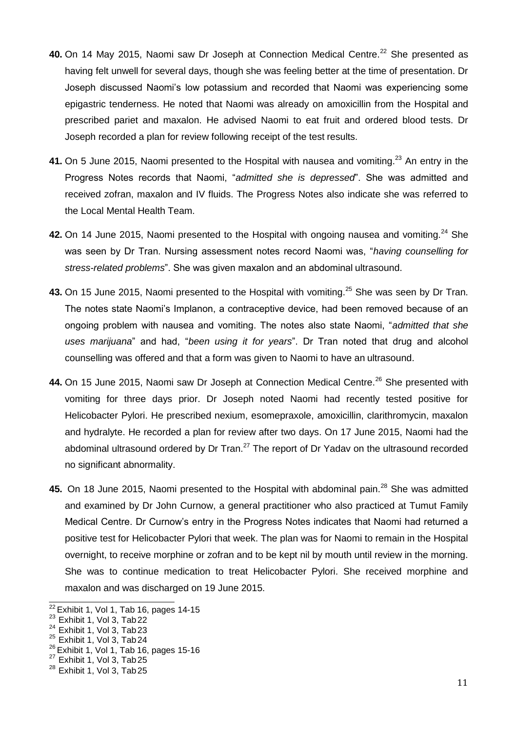- 40. On 14 May 2015, Naomi saw Dr Joseph at Connection Medical Centre.<sup>22</sup> She presented as having felt unwell for several days, though she was feeling better at the time of presentation. Dr Joseph discussed Naomi's low potassium and recorded that Naomi was experiencing some epigastric tenderness. He noted that Naomi was already on amoxicillin from the Hospital and prescribed pariet and maxalon. He advised Naomi to eat fruit and ordered blood tests. Dr Joseph recorded a plan for review following receipt of the test results.
- 41. On 5 June 2015, Naomi presented to the Hospital with nausea and vomiting.<sup>23</sup> An entry in the Progress Notes records that Naomi, "*admitted she is depressed*". She was admitted and received zofran, maxalon and IV fluids. The Progress Notes also indicate she was referred to the Local Mental Health Team.
- **42.** On 14 June 2015, Naomi presented to the Hospital with ongoing nausea and vomiting.<sup>24</sup> She was seen by Dr Tran. Nursing assessment notes record Naomi was, "*having counselling for stress-related problems*". She was given maxalon and an abdominal ultrasound.
- 43. On 15 June 2015, Naomi presented to the Hospital with vomiting.<sup>25</sup> She was seen by Dr Tran. The notes state Naomi's Implanon, a contraceptive device, had been removed because of an ongoing problem with nausea and vomiting. The notes also state Naomi, "*admitted that she uses marijuana*" and had, "*been using it for years*". Dr Tran noted that drug and alcohol counselling was offered and that a form was given to Naomi to have an ultrasound.
- 44. On 15 June 2015, Naomi saw Dr Joseph at Connection Medical Centre.<sup>26</sup> She presented with vomiting for three days prior. Dr Joseph noted Naomi had recently tested positive for Helicobacter Pylori. He prescribed nexium, esomepraxole, amoxicillin, clarithromycin, maxalon and hydralyte. He recorded a plan for review after two days. On 17 June 2015, Naomi had the abdominal ultrasound ordered by Dr Tran. $^{27}$  The report of Dr Yadav on the ultrasound recorded no significant abnormality.
- 45. On 18 June 2015, Naomi presented to the Hospital with abdominal pain.<sup>28</sup> She was admitted and examined by Dr John Curnow, a general practitioner who also practiced at Tumut Family Medical Centre. Dr Curnow's entry in the Progress Notes indicates that Naomi had returned a positive test for Helicobacter Pylori that week. The plan was for Naomi to remain in the Hospital overnight, to receive morphine or zofran and to be kept nil by mouth until review in the morning. She was to continue medication to treat Helicobacter Pylori. She received morphine and maxalon and was discharged on 19 June 2015.

 $22$  Exhibit 1, Vol 1, Tab 16, pages 14-15

<sup>&</sup>lt;sup>23</sup> Exhibit 1, Vol 3, Tab 22

 $24$  Exhibit 1, Vol 3, Tab 23

 $25$  Exhibit 1, Vol 3, Tab 24

 $^{26}_{-}$ Exhibit 1, Vol 1, Tab 16, pages 15-16

 $27$  Exhibit 1, Vol 3, Tab 25

 $28$  Exhibit 1, Vol 3, Tab 25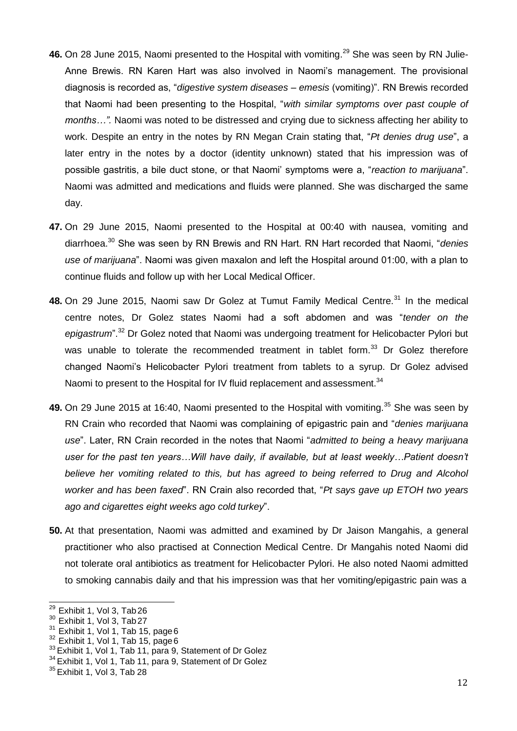- 46. On 28 June 2015, Naomi presented to the Hospital with vomiting.<sup>29</sup> She was seen by RN Julie-Anne Brewis. RN Karen Hart was also involved in Naomi's management. The provisional diagnosis is recorded as, "*digestive system diseases – emesis* (vomiting)". RN Brewis recorded that Naomi had been presenting to the Hospital, "*with similar symptoms over past couple of months…".* Naomi was noted to be distressed and crying due to sickness affecting her ability to work. Despite an entry in the notes by RN Megan Crain stating that, "*Pt denies drug use*", a later entry in the notes by a doctor (identity unknown) stated that his impression was of possible gastritis, a bile duct stone, or that Naomi' symptoms were a, "*reaction to marijuana*". Naomi was admitted and medications and fluids were planned. She was discharged the same day.
- **47.** On 29 June 2015, Naomi presented to the Hospital at 00:40 with nausea, vomiting and diarrhoea.<sup>30</sup> She was seen by RN Brewis and RN Hart. RN Hart recorded that Naomi, "*denies use of marijuana*". Naomi was given maxalon and left the Hospital around 01:00, with a plan to continue fluids and follow up with her Local Medical Officer.
- **48.** On 29 June 2015, Naomi saw Dr Golez at Tumut Family Medical Centre.<sup>31</sup> In the medical centre notes, Dr Golez states Naomi had a soft abdomen and was "*tender on the epigastrum*".<sup>32</sup> Dr Golez noted that Naomi was undergoing treatment for Helicobacter Pylori but was unable to tolerate the recommended treatment in tablet form.<sup>33</sup> Dr Golez therefore changed Naomi's Helicobacter Pylori treatment from tablets to a syrup. Dr Golez advised Naomi to present to the Hospital for IV fluid replacement and assessment.<sup>34</sup>
- **49.** On 29 June 2015 at 16:40, Naomi presented to the Hospital with vomiting.<sup>35</sup> She was seen by RN Crain who recorded that Naomi was complaining of epigastric pain and "*denies marijuana use*". Later, RN Crain recorded in the notes that Naomi "*admitted to being a heavy marijuana*  user for the past ten years...Will have daily, if available, but at least weekly...Patient doesn't believe her vomiting related to this, but has agreed to being referred to Drug and Alcohol *worker and has been faxed*". RN Crain also recorded that, "*Pt says gave up ETOH two years ago and cigarettes eight weeks ago cold turkey*".
- **50.** At that presentation, Naomi was admitted and examined by Dr Jaison Mangahis, a general practitioner who also practised at Connection Medical Centre. Dr Mangahis noted Naomi did not tolerate oral antibiotics as treatment for Helicobacter Pylori. He also noted Naomi admitted to smoking cannabis daily and that his impression was that her vomiting/epigastric pain was a

 $29$  Exhibit 1, Vol 3, Tab 26

 $30$  Exhibit 1, Vol 3, Tab 27

 $31$  Exhibit 1, Vol 1, Tab 15, page 6

 $32$  Exhibit 1, Vol 1, Tab 15, page 6

<sup>&</sup>lt;sup>33</sup> Exhibit 1, Vol 1, Tab 11, para 9, Statement of Dr Golez

<sup>&</sup>lt;sup>34</sup> Exhibit 1, Vol 1, Tab 11, para 9, Statement of Dr Golez

 $35$  Exhibit 1, Vol 3, Tab 28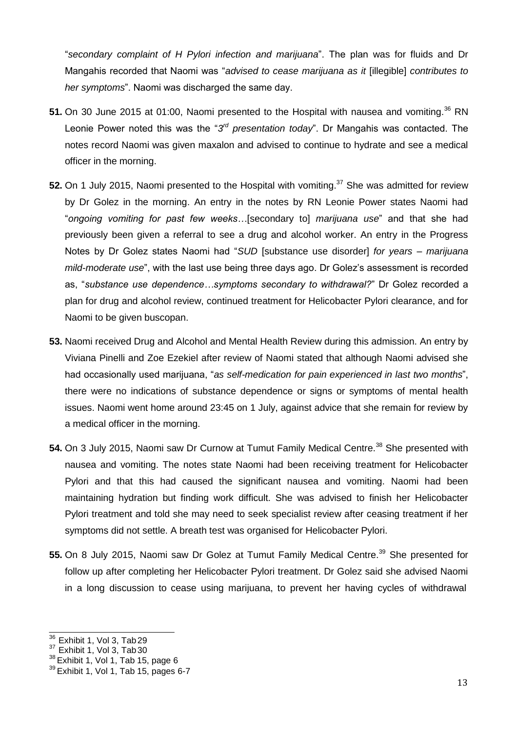"*secondary complaint of H Pylori infection and marijuana*". The plan was for fluids and Dr Mangahis recorded that Naomi was "*advised to cease marijuana as it* [illegible] *contributes to her symptoms*". Naomi was discharged the same day.

- 51. On 30 June 2015 at 01:00, Naomi presented to the Hospital with nausea and vomiting.<sup>36</sup> RN Leonie Power noted this was the "3<sup>rd</sup> presentation today". Dr Mangahis was contacted. The notes record Naomi was given maxalon and advised to continue to hydrate and see a medical officer in the morning.
- 52. On 1 July 2015, Naomi presented to the Hospital with vomiting.<sup>37</sup> She was admitted for review by Dr Golez in the morning. An entry in the notes by RN Leonie Power states Naomi had "*ongoing vomiting for past few weeks…*[secondary to] *marijuana use*" and that she had previously been given a referral to see a drug and alcohol worker. An entry in the Progress Notes by Dr Golez states Naomi had "*SUD* [substance use disorder] *for years – marijuana mild-moderate use*", with the last use being three days ago. Dr Golez's assessment is recorded as, "*substance use dependence…symptoms secondary to withdrawal?*" Dr Golez recorded a plan for drug and alcohol review, continued treatment for Helicobacter Pylori clearance, and for Naomi to be given buscopan.
- **53.** Naomi received Drug and Alcohol and Mental Health Review during this admission. An entry by Viviana Pinelli and Zoe Ezekiel after review of Naomi stated that although Naomi advised she had occasionally used marijuana, "*as self-medication for pain experienced in last two months*", there were no indications of substance dependence or signs or symptoms of mental health issues. Naomi went home around 23:45 on 1 July, against advice that she remain for review by a medical officer in the morning.
- 54. On 3 July 2015, Naomi saw Dr Curnow at Tumut Family Medical Centre.<sup>38</sup> She presented with nausea and vomiting. The notes state Naomi had been receiving treatment for Helicobacter Pylori and that this had caused the significant nausea and vomiting. Naomi had been maintaining hydration but finding work difficult. She was advised to finish her Helicobacter Pylori treatment and told she may need to seek specialist review after ceasing treatment if her symptoms did not settle. A breath test was organised for Helicobacter Pylori.
- 55. On 8 July 2015, Naomi saw Dr Golez at Tumut Family Medical Centre.<sup>39</sup> She presented for follow up after completing her Helicobacter Pylori treatment. Dr Golez said she advised Naomi in a long discussion to cease using marijuana, to prevent her having cycles of withdrawal

 $36$  Exhibit 1, Vol 3, Tab 29

 $37$  Exhibit 1, Vol 3, Tab 30

 $38$  Exhibit 1, Vol 1, Tab 15, page 6

 $39$  Exhibit 1, Vol 1, Tab 15, pages 6-7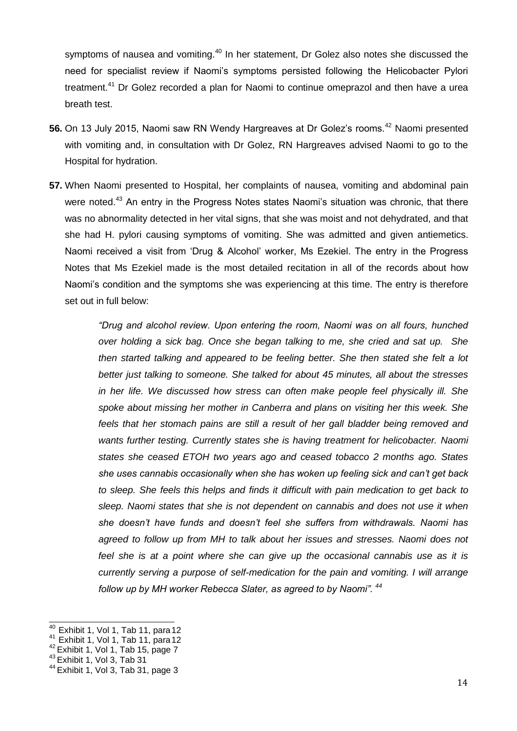symptoms of nausea and vomiting.<sup>40</sup> In her statement, Dr Golez also notes she discussed the need for specialist review if Naomi's symptoms persisted following the Helicobacter Pylori treatment.<sup>41</sup> Dr Golez recorded a plan for Naomi to continue omeprazol and then have a urea breath test.

- **56.** On 13 July 2015, Naomi saw RN Wendy Hargreaves at Dr Golez's rooms.<sup>42</sup> Naomi presented with vomiting and, in consultation with Dr Golez, RN Hargreaves advised Naomi to go to the Hospital for hydration.
- **57.** When Naomi presented to Hospital, her complaints of nausea, vomiting and abdominal pain were noted.<sup>43</sup> An entry in the Progress Notes states Naomi's situation was chronic, that there was no abnormality detected in her vital signs, that she was moist and not dehydrated, and that she had H. pylori causing symptoms of vomiting. She was admitted and given antiemetics. Naomi received a visit from 'Drug & Alcohol' worker, Ms Ezekiel. The entry in the Progress Notes that Ms Ezekiel made is the most detailed recitation in all of the records about how Naomi's condition and the symptoms she was experiencing at this time. The entry is therefore set out in full below:

*"Drug and alcohol review. Upon entering the room, Naomi was on all fours, hunched over holding a sick bag. Once she began talking to me, she cried and sat up. She then started talking and appeared to be feeling better. She then stated she felt a lot better just talking to someone. She talked for about 45 minutes, all about the stresses in her life. We discussed how stress can often make people feel physically ill. She spoke about missing her mother in Canberra and plans on visiting her this week. She feels that her stomach pains are still a result of her gall bladder being removed and wants further testing. Currently states she is having treatment for helicobacter. Naomi states she ceased ETOH two years ago and ceased tobacco 2 months ago. States she uses cannabis occasionally when she has woken up feeling sick and can't get back to sleep. She feels this helps and finds it difficult with pain medication to get back to sleep. Naomi states that she is not dependent on cannabis and does not use it when she doesn't have funds and doesn't feel she suffers from withdrawals. Naomi has agreed to follow up from MH to talk about her issues and stresses. Naomi does not feel she is at a point where she can give up the occasional cannabis use as it is currently serving a purpose of self-medication for the pain and vomiting. I will arrange follow up by MH worker Rebecca Slater, as agreed to by Naomi". <sup>44</sup>*

 $\frac{40}{40}$  Exhibit 1, Vol 1, Tab 11, para 12

 $41$  Exhibit 1, Vol 1, Tab 11, para 12

 $42$  Exhibit 1, Vol 1, Tab 15, page 7

 $43$  Exhibit 1, Vol 3, Tab 31

 $44$  Exhibit 1, Vol 3, Tab 31, page 3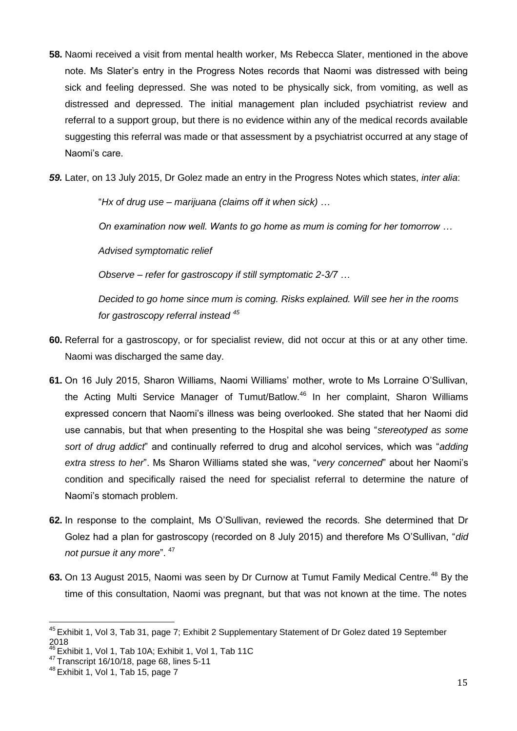**58.** Naomi received a visit from mental health worker, Ms Rebecca Slater, mentioned in the above note. Ms Slater's entry in the Progress Notes records that Naomi was distressed with being sick and feeling depressed. She was noted to be physically sick, from vomiting, as well as distressed and depressed. The initial management plan included psychiatrist review and referral to a support group, but there is no evidence within any of the medical records available suggesting this referral was made or that assessment by a psychiatrist occurred at any stage of Naomi's care.

*59.* Later, on 13 July 2015, Dr Golez made an entry in the Progress Notes which states, *inter alia*:

"*Hx of drug use – marijuana (claims off it when sick) …*

*On examination now well. Wants to go home as mum is coming for her tomorrow …* 

*Advised symptomatic relief*

*Observe – refer for gastroscopy if still symptomatic 2-3/7 …*

*Decided to go home since mum is coming. Risks explained. Will see her in the rooms for gastroscopy referral instead <sup>45</sup>*

- **60.** Referral for a gastroscopy, or for specialist review, did not occur at this or at any other time. Naomi was discharged the same day.
- **61.** On 16 July 2015, Sharon Williams, Naomi Williams' mother, wrote to Ms Lorraine O'Sullivan, the Acting Multi Service Manager of Tumut/Batlow.<sup>46</sup> In her complaint, Sharon Williams expressed concern that Naomi's illness was being overlooked. She stated that her Naomi did use cannabis, but that when presenting to the Hospital she was being "*stereotyped as some sort of drug addict*" and continually referred to drug and alcohol services, which was "*adding extra stress to her*". Ms Sharon Williams stated she was, "*very concerned*" about her Naomi's condition and specifically raised the need for specialist referral to determine the nature of Naomi's stomach problem.
- **62.** In response to the complaint, Ms O'Sullivan, reviewed the records. She determined that Dr Golez had a plan for gastroscopy (recorded on 8 July 2015) and therefore Ms O'Sullivan, "*did*  not pursue it any more". <sup>47</sup>
- 63. On 13 August 2015, Naomi was seen by Dr Curnow at Tumut Family Medical Centre.<sup>48</sup> By the time of this consultation, Naomi was pregnant, but that was not known at the time. The notes

<sup>&</sup>lt;sup>45</sup> Exhibit 1, Vol 3, Tab 31, page 7; Exhibit 2 Supplementary Statement of Dr Golez dated 19 September 2018

Exhibit 1, Vol 1, Tab 10A; Exhibit 1, Vol 1, Tab 11C

<sup>47</sup> Transcript 16/10/18, page 68, lines 5-11

 $48$  Exhibit 1, Vol 1, Tab 15, page 7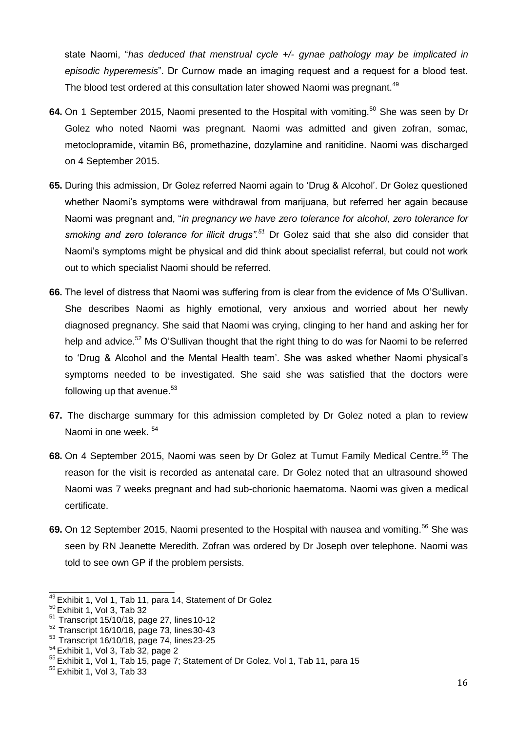state Naomi, "*has deduced that menstrual cycle +/- gynae pathology may be implicated in episodic hyperemesis*". Dr Curnow made an imaging request and a request for a blood test. The blood test ordered at this consultation later showed Naomi was pregnant.<sup>49</sup>

- 64. On 1 September 2015, Naomi presented to the Hospital with vomiting.<sup>50</sup> She was seen by Dr Golez who noted Naomi was pregnant. Naomi was admitted and given zofran, somac, metoclopramide, vitamin B6, promethazine, dozylamine and ranitidine. Naomi was discharged on 4 September 2015.
- **65.** During this admission, Dr Golez referred Naomi again to 'Drug & Alcohol'. Dr Golez questioned whether Naomi's symptoms were withdrawal from marijuana, but referred her again because Naomi was pregnant and, "*in pregnancy we have zero tolerance for alcohol, zero tolerance for smoking and zero tolerance for illicit drugs".<sup>51</sup>* Dr Golez said that she also did consider that Naomi's symptoms might be physical and did think about specialist referral, but could not work out to which specialist Naomi should be referred.
- **66.** The level of distress that Naomi was suffering from is clear from the evidence of Ms O'Sullivan. She describes Naomi as highly emotional, very anxious and worried about her newly diagnosed pregnancy. She said that Naomi was crying, clinging to her hand and asking her for help and advice.<sup>52</sup> Ms O'Sullivan thought that the right thing to do was for Naomi to be referred to 'Drug & Alcohol and the Mental Health team'. She was asked whether Naomi physical's symptoms needed to be investigated. She said she was satisfied that the doctors were following up that avenue. $53$
- **67.** The discharge summary for this admission completed by Dr Golez noted a plan to review Naomi in one week.  $54$
- **68.** On 4 September 2015, Naomi was seen by Dr Golez at Tumut Family Medical Centre.<sup>55</sup> The reason for the visit is recorded as antenatal care. Dr Golez noted that an ultrasound showed Naomi was 7 weeks pregnant and had sub-chorionic haematoma. Naomi was given a medical certificate.
- **69.** On 12 September 2015, Naomi presented to the Hospital with nausea and vomiting.<sup>56</sup> She was seen by RN Jeanette Meredith. Zofran was ordered by Dr Joseph over telephone. Naomi was told to see own GP if the problem persists.

 $\frac{49}{25}$ Exhibit 1, Vol 1, Tab 11, para 14, Statement of Dr Golez

<sup>50</sup> Exhibit 1, Vol 3, Tab 32

 $51$  Transcript 15/10/18, page 27, lines 10-12

 $52$  Transcript 16/10/18, page 73, lines 30-43

<sup>53</sup> Transcript 16/10/18, page 74, lines 23-25

 $54$  Exhibit 1, Vol 3, Tab 32, page 2

<sup>&</sup>lt;sup>55</sup> Exhibit 1, Vol 1, Tab 15, page 7; Statement of Dr Golez, Vol 1, Tab 11, para 15

 $56$  Exhibit 1, Vol 3, Tab 33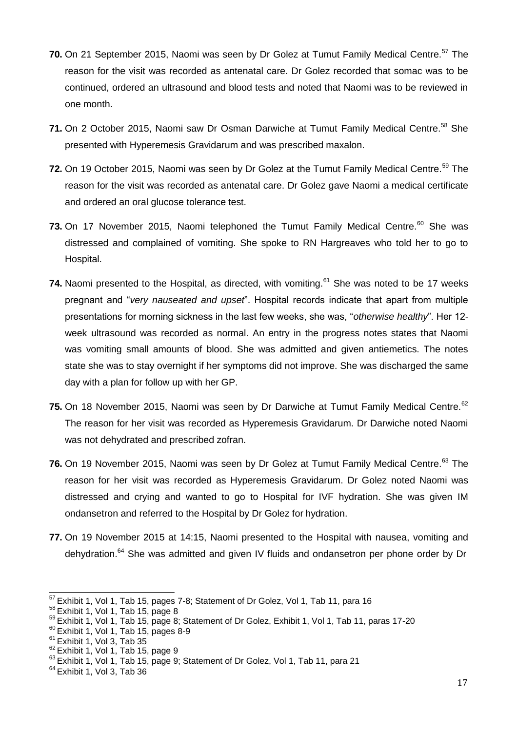- **70.** On 21 September 2015, Naomi was seen by Dr Golez at Tumut Family Medical Centre.<sup>57</sup> The reason for the visit was recorded as antenatal care. Dr Golez recorded that somac was to be continued, ordered an ultrasound and blood tests and noted that Naomi was to be reviewed in one month.
- 71. On 2 October 2015, Naomi saw Dr Osman Darwiche at Tumut Family Medical Centre.<sup>58</sup> She presented with Hyperemesis Gravidarum and was prescribed maxalon.
- 72. On 19 October 2015, Naomi was seen by Dr Golez at the Tumut Family Medical Centre.<sup>59</sup> The reason for the visit was recorded as antenatal care. Dr Golez gave Naomi a medical certificate and ordered an oral glucose tolerance test.
- 73. On 17 November 2015, Naomi telephoned the Tumut Family Medical Centre.<sup>60</sup> She was distressed and complained of vomiting. She spoke to RN Hargreaves who told her to go to Hospital.
- 74. Naomi presented to the Hospital, as directed, with vomiting.<sup>61</sup> She was noted to be 17 weeks pregnant and "*very nauseated and upset*". Hospital records indicate that apart from multiple presentations for morning sickness in the last few weeks, she was, "*otherwise healthy*". Her 12 week ultrasound was recorded as normal. An entry in the progress notes states that Naomi was vomiting small amounts of blood. She was admitted and given antiemetics. The notes state she was to stay overnight if her symptoms did not improve. She was discharged the same day with a plan for follow up with her GP.
- **75.** On 18 November 2015, Naomi was seen by Dr Darwiche at Tumut Family Medical Centre.<sup>62</sup> The reason for her visit was recorded as Hyperemesis Gravidarum. Dr Darwiche noted Naomi was not dehydrated and prescribed zofran.
- **76.** On 19 November 2015, Naomi was seen by Dr Golez at Tumut Family Medical Centre.<sup>63</sup> The reason for her visit was recorded as Hyperemesis Gravidarum. Dr Golez noted Naomi was distressed and crying and wanted to go to Hospital for IVF hydration. She was given IM ondansetron and referred to the Hospital by Dr Golez for hydration.
- **77.** On 19 November 2015 at 14:15, Naomi presented to the Hospital with nausea, vomiting and dehvdration.<sup>64</sup> She was admitted and given IV fluids and ondansetron per phone order by Dr

 $57$  Exhibit 1, Vol 1, Tab 15, pages 7-8; Statement of Dr Golez, Vol 1, Tab 11, para 16

 $58$  Exhibit 1, Vol 1, Tab 15, page 8

<sup>&</sup>lt;sup>59</sup> Exhibit 1, Vol 1, Tab 15, page 8; Statement of Dr Golez, Exhibit 1, Vol 1, Tab 11, paras 17-20

 $60$  Exhibit 1, Vol 1, Tab 15, pages 8-9

 $61$  Exhibit 1, Vol 3, Tab 35

 $62$  Exhibit 1, Vol 1, Tab 15, page 9

<sup>&</sup>lt;sup>63</sup> Exhibit 1, Vol 1, Tab 15, page 9; Statement of Dr Golez, Vol 1, Tab 11, para 21

 $64$  Exhibit 1, Vol 3, Tab 36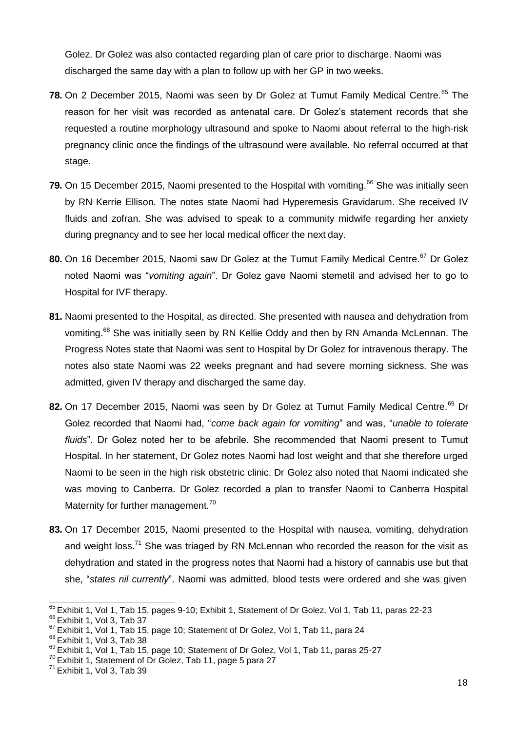Golez. Dr Golez was also contacted regarding plan of care prior to discharge. Naomi was discharged the same day with a plan to follow up with her GP in two weeks.

- **78.** On 2 December 2015, Naomi was seen by Dr Golez at Tumut Family Medical Centre.<sup>65</sup> The reason for her visit was recorded as antenatal care. Dr Golez's statement records that she requested a routine morphology ultrasound and spoke to Naomi about referral to the high-risk pregnancy clinic once the findings of the ultrasound were available. No referral occurred at that stage.
- **79.** On 15 December 2015, Naomi presented to the Hospital with vomiting.<sup>66</sup> She was initially seen by RN Kerrie Ellison. The notes state Naomi had Hyperemesis Gravidarum. She received IV fluids and zofran. She was advised to speak to a community midwife regarding her anxiety during pregnancy and to see her local medical officer the next day.
- 80. On 16 December 2015, Naomi saw Dr Golez at the Tumut Family Medical Centre.<sup>67</sup> Dr Golez noted Naomi was "*vomiting again*". Dr Golez gave Naomi stemetil and advised her to go to Hospital for IVF therapy.
- **81.** Naomi presented to the Hospital, as directed. She presented with nausea and dehydration from vomiting.<sup>68</sup> She was initially seen by RN Kellie Oddy and then by RN Amanda McLennan. The Progress Notes state that Naomi was sent to Hospital by Dr Golez for intravenous therapy. The notes also state Naomi was 22 weeks pregnant and had severe morning sickness. She was admitted, given IV therapy and discharged the same day.
- 82. On 17 December 2015, Naomi was seen by Dr Golez at Tumut Family Medical Centre.<sup>69</sup> Dr Golez recorded that Naomi had, "*come back again for vomiting*" and was, "*unable to tolerate fluids*". Dr Golez noted her to be afebrile. She recommended that Naomi present to Tumut Hospital. In her statement, Dr Golez notes Naomi had lost weight and that she therefore urged Naomi to be seen in the high risk obstetric clinic. Dr Golez also noted that Naomi indicated she was moving to Canberra. Dr Golez recorded a plan to transfer Naomi to Canberra Hospital Maternity for further management. $70$
- **83.** On 17 December 2015, Naomi presented to the Hospital with nausea, vomiting, dehydration and weight loss.<sup>71</sup> She was triaged by RN McLennan who recorded the reason for the visit as dehydration and stated in the progress notes that Naomi had a history of cannabis use but that she, "*states nil currently*". Naomi was admitted, blood tests were ordered and she was given

<sup>&</sup>lt;sup>65</sup> Exhibit 1, Vol 1, Tab 15, pages 9-10; Exhibit 1, Statement of Dr Golez, Vol 1, Tab 11, paras 22-23

<sup>66</sup>Exhibit 1, Vol 3, Tab 37

<sup>&</sup>lt;sup>67</sup> Exhibit 1, Vol 1, Tab 15, page 10; Statement of Dr Golez, Vol 1, Tab 11, para 24

 $68$  Exhibit 1, Vol 3, Tab 38

<sup>&</sup>lt;sup>69</sup> Exhibit 1, Vol 1, Tab 15, page 10; Statement of Dr Golez, Vol 1, Tab 11, paras 25-27

 $70$  Exhibit 1, Statement of Dr Golez, Tab 11, page 5 para 27

 $71$  Exhibit 1, Vol 3, Tab 39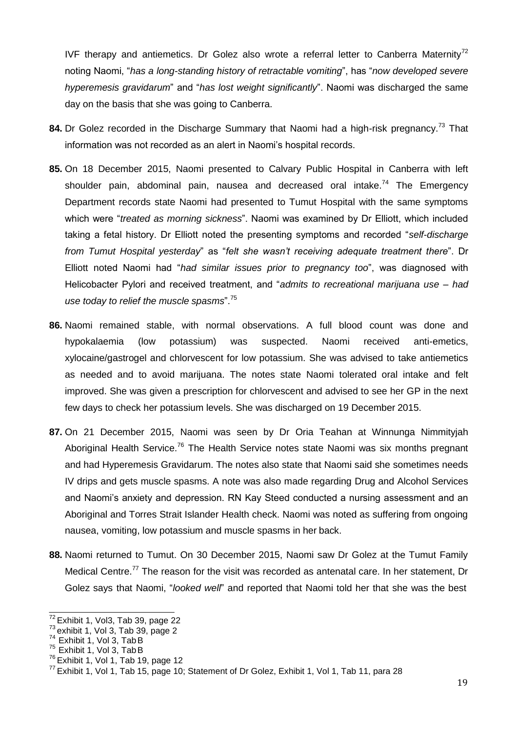IVF therapy and antiemetics. Dr Golez also wrote a referral letter to Canberra Maternity<sup>72</sup> noting Naomi, "*has a long-standing history of retractable vomiting*", has "*now developed severe hyperemesis gravidarum*" and "*has lost weight significantly*". Naomi was discharged the same day on the basis that she was going to Canberra.

- 84. Dr Golez recorded in the Discharge Summary that Naomi had a high-risk pregnancy.<sup>73</sup> That information was not recorded as an alert in Naomi's hospital records.
- **85.** On 18 December 2015, Naomi presented to Calvary Public Hospital in Canberra with left shoulder pain, abdominal pain, nausea and decreased oral intake.<sup>74</sup> The Emergency Department records state Naomi had presented to Tumut Hospital with the same symptoms which were "*treated as morning sickness*". Naomi was examined by Dr Elliott, which included taking a fetal history. Dr Elliott noted the presenting symptoms and recorded "*self-discharge from Tumut Hospital yesterday*" as "*felt she wasn't receiving adequate treatment there*". Dr Elliott noted Naomi had "*had similar issues prior to pregnancy too*", was diagnosed with Helicobacter Pylori and received treatment, and "*admits to recreational marijuana use – had use today to relief the muscle spasms*".<sup>75</sup>
- **86.** Naomi remained stable, with normal observations. A full blood count was done and hypokalaemia (low potassium) was suspected. Naomi received anti-emetics, xylocaine/gastrogel and chlorvescent for low potassium. She was advised to take antiemetics as needed and to avoid marijuana. The notes state Naomi tolerated oral intake and felt improved. She was given a prescription for chlorvescent and advised to see her GP in the next few days to check her potassium levels. She was discharged on 19 December 2015.
- **87.** On 21 December 2015, Naomi was seen by Dr Oria Teahan at Winnunga Nimmityjah Aboriginal Health Service.<sup>76</sup> The Health Service notes state Naomi was six months pregnant and had Hyperemesis Gravidarum. The notes also state that Naomi said she sometimes needs IV drips and gets muscle spasms. A note was also made regarding Drug and Alcohol Services and Naomi's anxiety and depression. RN Kay Steed conducted a nursing assessment and an Aboriginal and Torres Strait Islander Health check. Naomi was noted as suffering from ongoing nausea, vomiting, low potassium and muscle spasms in her back.
- **88.** Naomi returned to Tumut. On 30 December 2015, Naomi saw Dr Golez at the Tumut Family Medical Centre.<sup>77</sup> The reason for the visit was recorded as antenatal care. In her statement, Dr Golez says that Naomi, "*looked well*" and reported that Naomi told her that she was the best

 $\overline{72}$  Exhibit 1, Vol3, Tab 39, page 22

<sup>&</sup>lt;sup>73</sup> exhibit 1, Vol 3, Tab 39, page 2

<sup>&</sup>lt;sup>74</sup> Exhibit 1, Vol 3, Tab B

 $75$  Exhibit 1, Vol 3, Tab B

 $76$  Exhibit 1, Vol 1, Tab 19, page 12

 $^{77}$  Exhibit 1, Vol 1, Tab 15, page 10; Statement of Dr Golez, Exhibit 1, Vol 1, Tab 11, para 28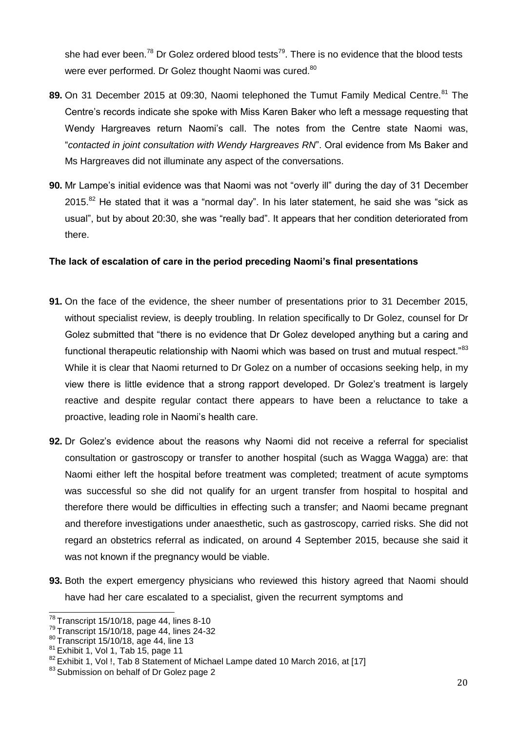she had ever been.<sup>78</sup> Dr Golez ordered blood tests<sup>79</sup>. There is no evidence that the blood tests were ever performed. Dr Golez thought Naomi was cured.<sup>80</sup>

- **89.** On 31 December 2015 at 09:30, Naomi telephoned the Tumut Family Medical Centre.<sup>81</sup> The Centre's records indicate she spoke with Miss Karen Baker who left a message requesting that Wendy Hargreaves return Naomi's call. The notes from the Centre state Naomi was, "*contacted in joint consultation with Wendy Hargreaves RN*". Oral evidence from Ms Baker and Ms Hargreaves did not illuminate any aspect of the conversations.
- **90.** Mr Lampe's initial evidence was that Naomi was not "overly ill" during the day of 31 December  $2015.<sup>82</sup>$  He stated that it was a "normal day". In his later statement, he said she was "sick as usual", but by about 20:30, she was "really bad". It appears that her condition deteriorated from there.

## <span id="page-19-0"></span>**The lack of escalation of care in the period preceding Naomi's final presentations**

- **91.** On the face of the evidence, the sheer number of presentations prior to 31 December 2015, without specialist review, is deeply troubling. In relation specifically to Dr Golez, counsel for Dr Golez submitted that "there is no evidence that Dr Golez developed anything but a caring and functional therapeutic relationship with Naomi which was based on trust and mutual respect."<sup>83</sup> While it is clear that Naomi returned to Dr Golez on a number of occasions seeking help, in my view there is little evidence that a strong rapport developed. Dr Golez's treatment is largely reactive and despite regular contact there appears to have been a reluctance to take a proactive, leading role in Naomi's health care.
- **92.** Dr Golez's evidence about the reasons why Naomi did not receive a referral for specialist consultation or gastroscopy or transfer to another hospital (such as Wagga Wagga) are: that Naomi either left the hospital before treatment was completed; treatment of acute symptoms was successful so she did not qualify for an urgent transfer from hospital to hospital and therefore there would be difficulties in effecting such a transfer; and Naomi became pregnant and therefore investigations under anaesthetic, such as gastroscopy, carried risks. She did not regard an obstetrics referral as indicated, on around 4 September 2015, because she said it was not known if the pregnancy would be viable.
- **93.** Both the expert emergency physicians who reviewed this history agreed that Naomi should have had her care escalated to a specialist, given the recurrent symptoms and

 $78$  Transcript 15/10/18, page 44, lines 8-10

<sup>79</sup>Transcript 15/10/18, page 44, lines 24-32

 $80$  Transcript 15/10/18, age 44, line 13

 $81$  Exhibit 1, Vol 1, Tab 15, page 11

<sup>82</sup> Exhibit 1, Vol !, Tab 8 Statement of Michael Lampe dated 10 March 2016, at [17]

<sup>83</sup> Submission on behalf of Dr Golez page 2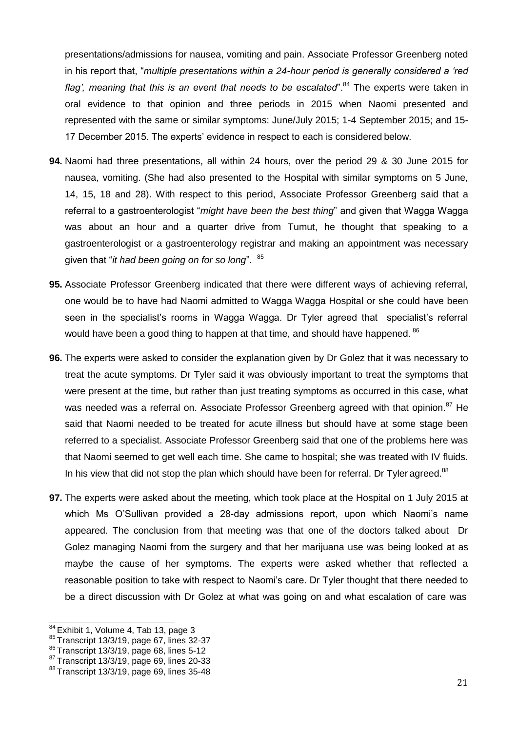presentations/admissions for nausea, vomiting and pain. Associate Professor Greenberg noted in his report that, "*multiple presentations within a 24-hour period is generally considered a 'red flag', meaning that this is an event that needs to be escalated".<sup>84</sup> The experts were taken in* oral evidence to that opinion and three periods in 2015 when Naomi presented and represented with the same or similar symptoms: June/July 2015; 1-4 September 2015; and 15- 17 December 2015. The experts' evidence in respect to each is considered below.

- **94.** Naomi had three presentations, all within 24 hours, over the period 29 & 30 June 2015 for nausea, vomiting. (She had also presented to the Hospital with similar symptoms on 5 June, 14, 15, 18 and 28). With respect to this period, Associate Professor Greenberg said that a referral to a gastroenterologist "*might have been the best thing*" and given that Wagga Wagga was about an hour and a quarter drive from Tumut, he thought that speaking to a gastroenterologist or a gastroenterology registrar and making an appointment was necessary given that "*it had been going on for so long*". <sup>85</sup>
- **95.** Associate Professor Greenberg indicated that there were different ways of achieving referral, one would be to have had Naomi admitted to Wagga Wagga Hospital or she could have been seen in the specialist's rooms in Wagga Wagga. Dr Tyler agreed that specialist's referral would have been a good thing to happen at that time, and should have happened. <sup>86</sup>
- **96.** The experts were asked to consider the explanation given by Dr Golez that it was necessary to treat the acute symptoms. Dr Tyler said it was obviously important to treat the symptoms that were present at the time, but rather than just treating symptoms as occurred in this case, what was needed was a referral on. Associate Professor Greenberg agreed with that opinion.<sup>87</sup> He said that Naomi needed to be treated for acute illness but should have at some stage been referred to a specialist. Associate Professor Greenberg said that one of the problems here was that Naomi seemed to get well each time. She came to hospital; she was treated with IV fluids. In his view that did not stop the plan which should have been for referral. Dr Tyler agreed.<sup>88</sup>
- **97.** The experts were asked about the meeting, which took place at the Hospital on 1 July 2015 at which Ms O'Sullivan provided a 28-day admissions report, upon which Naomi's name appeared. The conclusion from that meeting was that one of the doctors talked about Dr Golez managing Naomi from the surgery and that her marijuana use was being looked at as maybe the cause of her symptoms. The experts were asked whether that reflected a reasonable position to take with respect to Naomi's care. Dr Tyler thought that there needed to be a direct discussion with Dr Golez at what was going on and what escalation of care was

 $84$  Exhibit 1, Volume 4, Tab 13, page 3

<sup>85</sup>Transcript 13/3/19, page 67, lines 32-37

<sup>86</sup> Transcript 13/3/19, page 68, lines 5-12

 $87$  Transcript 13/3/19, page 69, lines 20-33

 $88$  Transcript 13/3/19, page 69, lines 35-48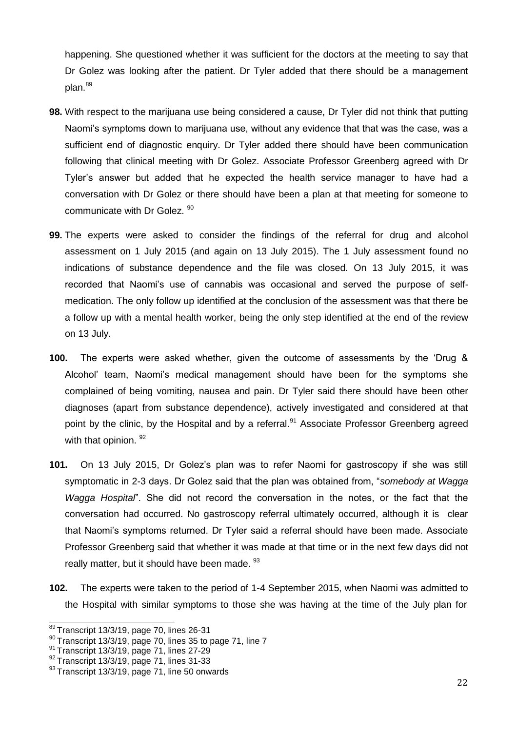happening. She questioned whether it was sufficient for the doctors at the meeting to say that Dr Golez was looking after the patient. Dr Tyler added that there should be a management plan.<sup>89</sup>

- **98.** With respect to the marijuana use being considered a cause, Dr Tyler did not think that putting Naomi's symptoms down to marijuana use, without any evidence that that was the case, was a sufficient end of diagnostic enquiry. Dr Tyler added there should have been communication following that clinical meeting with Dr Golez. Associate Professor Greenberg agreed with Dr Tyler's answer but added that he expected the health service manager to have had a conversation with Dr Golez or there should have been a plan at that meeting for someone to communicate with Dr Golez. 90
- **99.** The experts were asked to consider the findings of the referral for drug and alcohol assessment on 1 July 2015 (and again on 13 July 2015). The 1 July assessment found no indications of substance dependence and the file was closed. On 13 July 2015, it was recorded that Naomi's use of cannabis was occasional and served the purpose of selfmedication. The only follow up identified at the conclusion of the assessment was that there be a follow up with a mental health worker, being the only step identified at the end of the review on 13 July.
- **100.** The experts were asked whether, given the outcome of assessments by the 'Drug & Alcohol' team, Naomi's medical management should have been for the symptoms she complained of being vomiting, nausea and pain. Dr Tyler said there should have been other diagnoses (apart from substance dependence), actively investigated and considered at that point by the clinic, by the Hospital and by a referral.<sup>91</sup> Associate Professor Greenberg agreed with that opinion. 92
- **101.** On 13 July 2015, Dr Golez's plan was to refer Naomi for gastroscopy if she was still symptomatic in 2-3 days. Dr Golez said that the plan was obtained from, "*somebody at Wagga Wagga Hospital*". She did not record the conversation in the notes, or the fact that the conversation had occurred. No gastroscopy referral ultimately occurred, although it is clear that Naomi's symptoms returned. Dr Tyler said a referral should have been made. Associate Professor Greenberg said that whether it was made at that time or in the next few days did not really matter, but it should have been made. <sup>93</sup>
- **102.** The experts were taken to the period of 1-4 September 2015, when Naomi was admitted to the Hospital with similar symptoms to those she was having at the time of the July plan for

 $89$ Transcript 13/3/19, page 70, lines 26-31

 $90$  Transcript 13/3/19, page 70, lines 35 to page 71, line 7

<sup>91</sup> Transcript 13/3/19, page 71, lines 27-29

<sup>92</sup> Transcript 13/3/19, page 71, lines 31-33

 $93$  Transcript 13/3/19, page 71, line 50 onwards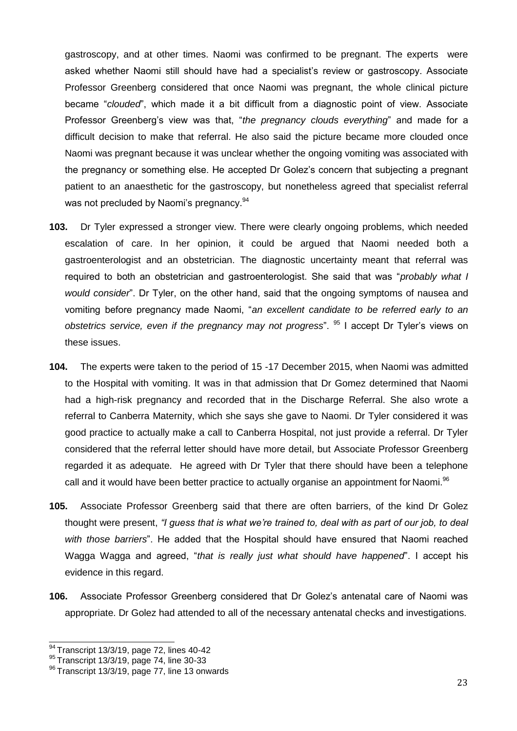gastroscopy, and at other times. Naomi was confirmed to be pregnant. The experts were asked whether Naomi still should have had a specialist's review or gastroscopy. Associate Professor Greenberg considered that once Naomi was pregnant, the whole clinical picture became "*clouded*", which made it a bit difficult from a diagnostic point of view. Associate Professor Greenberg's view was that, "*the pregnancy clouds everything*" and made for a difficult decision to make that referral. He also said the picture became more clouded once Naomi was pregnant because it was unclear whether the ongoing vomiting was associated with the pregnancy or something else. He accepted Dr Golez's concern that subjecting a pregnant patient to an anaesthetic for the gastroscopy, but nonetheless agreed that specialist referral was not precluded by Naomi's pregnancy.<sup>94</sup>

- **103.** Dr Tyler expressed a stronger view. There were clearly ongoing problems, which needed escalation of care. In her opinion, it could be argued that Naomi needed both a gastroenterologist and an obstetrician. The diagnostic uncertainty meant that referral was required to both an obstetrician and gastroenterologist. She said that was "*probably what I would consider*". Dr Tyler, on the other hand, said that the ongoing symptoms of nausea and vomiting before pregnancy made Naomi, "*an excellent candidate to be referred early to an obstetrics service, even if the pregnancy may not progress*". <sup>95</sup> I accept Dr Tyler's views on these issues.
- **104.** The experts were taken to the period of 15 -17 December 2015, when Naomi was admitted to the Hospital with vomiting. It was in that admission that Dr Gomez determined that Naomi had a high-risk pregnancy and recorded that in the Discharge Referral. She also wrote a referral to Canberra Maternity, which she says she gave to Naomi. Dr Tyler considered it was good practice to actually make a call to Canberra Hospital, not just provide a referral. Dr Tyler considered that the referral letter should have more detail, but Associate Professor Greenberg regarded it as adequate. He agreed with Dr Tyler that there should have been a telephone call and it would have been better practice to actually organise an appointment for Naomi.<sup>96</sup>
- **105.** Associate Professor Greenberg said that there are often barriers, of the kind Dr Golez thought were present, *"I guess that is what we're trained to, deal with as part of our job, to deal with those barriers*". He added that the Hospital should have ensured that Naomi reached Wagga Wagga and agreed, "*that is really just what should have happened*". I accept his evidence in this regard.
- **106.** Associate Professor Greenberg considered that Dr Golez's antenatal care of Naomi was appropriate. Dr Golez had attended to all of the necessary antenatal checks and investigations.

<sup>94</sup> Transcript 13/3/19, page 72, lines 40-42

<sup>95</sup> Transcript 13/3/19, page 74, line 30-33

<sup>&</sup>lt;sup>96</sup> Transcript 13/3/19, page 77, line 13 onwards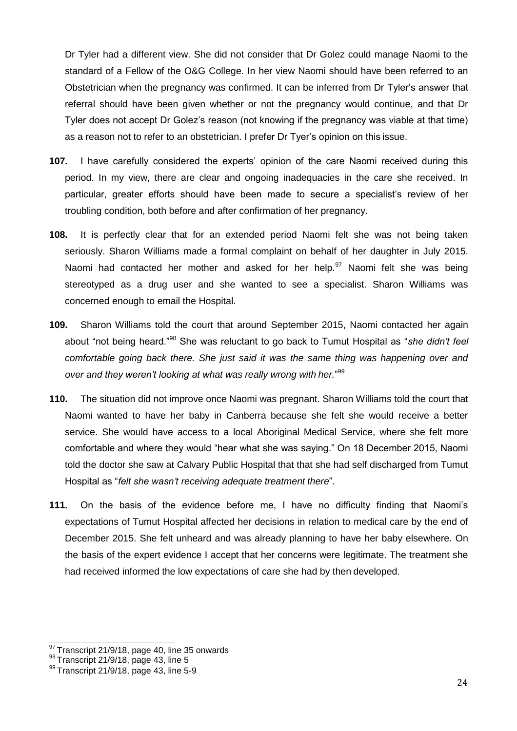Dr Tyler had a different view. She did not consider that Dr Golez could manage Naomi to the standard of a Fellow of the O&G College. In her view Naomi should have been referred to an Obstetrician when the pregnancy was confirmed. It can be inferred from Dr Tyler's answer that referral should have been given whether or not the pregnancy would continue, and that Dr Tyler does not accept Dr Golez's reason (not knowing if the pregnancy was viable at that time) as a reason not to refer to an obstetrician. I prefer Dr Tyer's opinion on this issue.

- **107.** I have carefully considered the experts' opinion of the care Naomi received during this period. In my view, there are clear and ongoing inadequacies in the care she received. In particular, greater efforts should have been made to secure a specialist's review of her troubling condition, both before and after confirmation of her pregnancy.
- **108.** It is perfectly clear that for an extended period Naomi felt she was not being taken seriously. Sharon Williams made a formal complaint on behalf of her daughter in July 2015. Naomi had contacted her mother and asked for her help. $97$  Naomi felt she was being stereotyped as a drug user and she wanted to see a specialist. Sharon Williams was concerned enough to email the Hospital.
- **109.** Sharon Williams told the court that around September 2015, Naomi contacted her again about "not being heard."<sup>98</sup> She was reluctant to go back to Tumut Hospital as "*she didn't feel comfortable going back there. She just said it was the same thing was happening over and over and they weren't looking at what was really wrong with her.*" 99
- **110.** The situation did not improve once Naomi was pregnant. Sharon Williams told the court that Naomi wanted to have her baby in Canberra because she felt she would receive a better service. She would have access to a local Aboriginal Medical Service, where she felt more comfortable and where they would "hear what she was saying." On 18 December 2015, Naomi told the doctor she saw at Calvary Public Hospital that that she had self discharged from Tumut Hospital as "*felt she wasn't receiving adequate treatment there*".
- **111.** On the basis of the evidence before me, I have no difficulty finding that Naomi's expectations of Tumut Hospital affected her decisions in relation to medical care by the end of December 2015. She felt unheard and was already planning to have her baby elsewhere. On the basis of the expert evidence I accept that her concerns were legitimate. The treatment she had received informed the low expectations of care she had by then developed.

 $97$  Transcript 21/9/18, page 40, line 35 onwards

<sup>98</sup> Transcript 21/9/18, page 43, line 5

<sup>99</sup> Transcript 21/9/18, page 43, line 5-9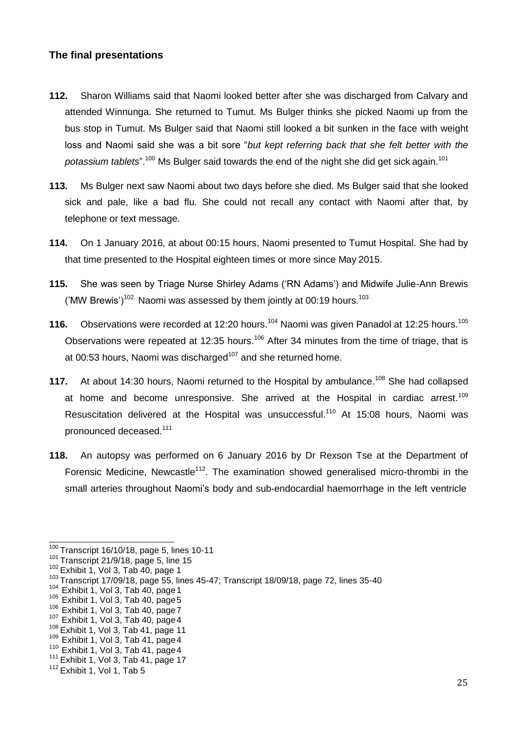## <span id="page-24-0"></span>**The final presentations**

- **112.** Sharon Williams said that Naomi looked better after she was discharged from Calvary and attended Winnunga. She returned to Tumut. Ms Bulger thinks she picked Naomi up from the bus stop in Tumut. Ms Bulger said that Naomi still looked a bit sunken in the face with weight loss and Naomi said she was a bit sore "*but kept referring back that she felt better with the*  potassium tablets".<sup>100</sup> Ms Bulger said towards the end of the night she did get sick again.<sup>101</sup>
- **113.** Ms Bulger next saw Naomi about two days before she died. Ms Bulger said that she looked sick and pale, like a bad flu. She could not recall any contact with Naomi after that, by telephone or text message.
- **114.** On 1 January 2016, at about 00:15 hours, Naomi presented to Tumut Hospital. She had by that time presented to the Hospital eighteen times or more since May 2015.
- **115.** She was seen by Triage Nurse Shirley Adams ('RN Adams') and Midwife Julie-Ann Brewis  $($ 'MW Brewis' $)^{102}$ . Naomi was assessed by them jointly at 00:19 hours.<sup>103</sup>
- **116.** Observations were recorded at 12:20 hours.<sup>104</sup> Naomi was given Panadol at 12:25 hours.<sup>105</sup> Observations were repeated at 12:35 hours.<sup>106</sup> After 34 minutes from the time of triage, that is at 00:53 hours, Naomi was discharged<sup>107</sup> and she returned home.
- **117.** At about 14:30 hours, Naomi returned to the Hospital by ambulance.<sup>108</sup> She had collapsed at home and become unresponsive. She arrived at the Hospital in cardiac arrest.<sup>109</sup> Resuscitation delivered at the Hospital was unsuccessful.<sup>110</sup> At 15:08 hours, Naomi was pronounced deceased.<sup>111</sup>
- **118.** An autopsy was performed on 6 January 2016 by Dr Rexson Tse at the Department of Forensic Medicine. Newcastle<sup>112</sup>. The examination showed generalised micro-thrombi in the small arteries throughout Naomi's body and sub-endocardial haemorrhage in the left ventricle

 $\frac{100}{100}$ Transcript 16/10/18, page 5, lines 10-11

 $101$  Transcript 21/9/18, page 5, line 15

 $102$  Exhibit 1, Vol 3, Tab 40, page 1

<sup>103</sup>Transcript 17/09/18, page 55, lines 45-47; Transcript 18/09/18, page 72, lines 35-40

 $104$  Exhibit 1, Vol 3, Tab 40, page 1

 $105$  Exhibit 1, Vol 3, Tab 40, page 5

 $106$  Exhibit 1, Vol 3, Tab 40, page 7

 $107$  Exhibit 1, Vol 3, Tab 40, page 4

 $108$  Exhibit 1, Vol 3, Tab 41, page 11

 $109$  Exhibit 1, Vol 3, Tab 41, page 4

 $110$  Exhibit 1, Vol 3, Tab 41, page 4

 $111$  Exhibit 1, Vol 3, Tab 41, page 17

 $112$  Exhibit 1, Vol 1, Tab 5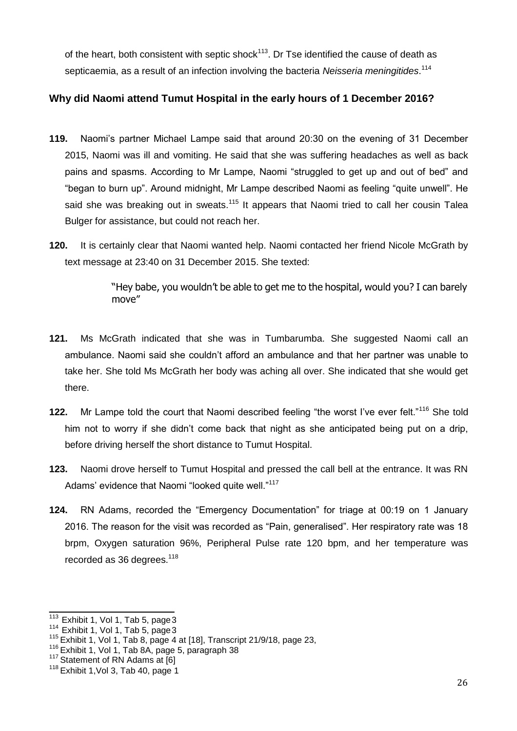of the heart, both consistent with septic shock<sup>113</sup>. Dr Tse identified the cause of death as septicaemia, as a result of an infection involving the bacteria *Neisseria meningitides*. 114

# <span id="page-25-0"></span>**Why did Naomi attend Tumut Hospital in the early hours of 1 December 2016?**

- **119.** Naomi's partner Michael Lampe said that around 20:30 on the evening of 31 December 2015, Naomi was ill and vomiting. He said that she was suffering headaches as well as back pains and spasms. According to Mr Lampe, Naomi "struggled to get up and out of bed" and "began to burn up". Around midnight, Mr Lampe described Naomi as feeling "quite unwell". He said she was breaking out in sweats.<sup>115</sup> It appears that Naomi tried to call her cousin Talea Bulger for assistance, but could not reach her.
- **120.** It is certainly clear that Naomi wanted help. Naomi contacted her friend Nicole McGrath by text message at 23:40 on 31 December 2015. She texted:

"Hey babe, you wouldn't be able to get me to the hospital, would you? I can barely move"

- **121.** Ms McGrath indicated that she was in Tumbarumba. She suggested Naomi call an ambulance. Naomi said she couldn't afford an ambulance and that her partner was unable to take her. She told Ms McGrath her body was aching all over. She indicated that she would get there.
- 122. Mr Lampe told the court that Naomi described feeling "the worst I've ever felt."<sup>116</sup> She told him not to worry if she didn't come back that night as she anticipated being put on a drip, before driving herself the short distance to Tumut Hospital.
- **123.** Naomi drove herself to Tumut Hospital and pressed the call bell at the entrance. It was RN Adams' evidence that Naomi "looked quite well."<sup>117</sup>
- **124.** RN Adams, recorded the "Emergency Documentation" for triage at 00:19 on 1 January 2016. The reason for the visit was recorded as "Pain, generalised". Her respiratory rate was 18 brpm, Oxygen saturation 96%, Peripheral Pulse rate 120 bpm, and her temperature was recorded as 36 degrees.<sup>118</sup>

 $113$  Exhibit 1, Vol 1, Tab 5, page 3

 $114$  Exhibit 1, Vol 1, Tab 5, page 3

 $115$  Exhibit 1, Vol 1, Tab 8, page 4 at [18], Transcript 21/9/18, page 23,

 $116$  Exhibit 1, Vol 1, Tab 8A, page 5, paragraph 38

 $117$  Statement of RN Adams at  $[6]$ 

 $118$  Exhibit 1, Vol 3, Tab 40, page 1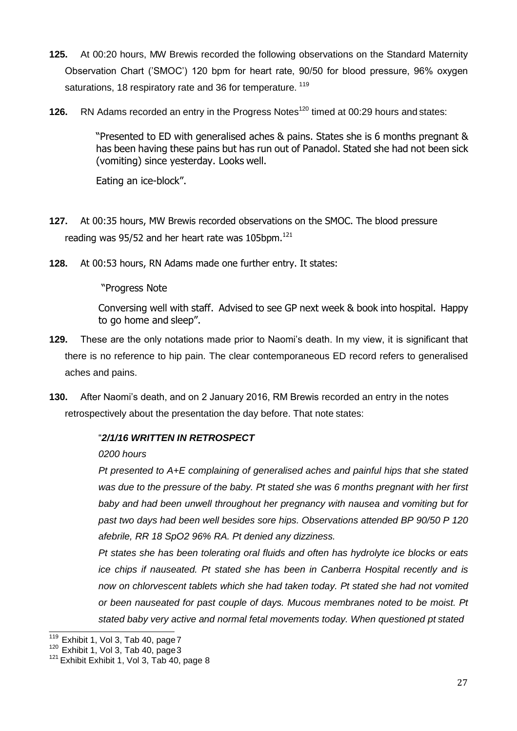- **125.** At 00:20 hours, MW Brewis recorded the following observations on the Standard Maternity Observation Chart ('SMOC') 120 bpm for heart rate, 90/50 for blood pressure, 96% oxygen saturations, 18 respiratory rate and 36 for temperature. <sup>119</sup>
- **126.** RN Adams recorded an entry in the Progress Notes<sup>120</sup> timed at 00:29 hours and states:

"Presented to ED with generalised aches & pains. States she is 6 months pregnant & has been having these pains but has run out of Panadol. Stated she had not been sick (vomiting) since yesterday. Looks well.

Eating an ice-block".

- **127.** At 00:35 hours, MW Brewis recorded observations on the SMOC. The blood pressure reading was 95/52 and her heart rate was 105bpm. $121$
- **128.** At 00:53 hours, RN Adams made one further entry. It states:

"Progress Note

Conversing well with staff. Advised to see GP next week & book into hospital. Happy to go home and sleep".

- **129.** These are the only notations made prior to Naomi's death. In my view, it is significant that there is no reference to hip pain. The clear contemporaneous ED record refers to generalised aches and pains.
- **130.** After Naomi's death, and on 2 January 2016, RM Brewis recorded an entry in the notes retrospectively about the presentation the day before. That note states:

# "*2/1/16 WRITTEN IN RETROSPECT*

### *0200 hours*

*Pt presented to A+E complaining of generalised aches and painful hips that she stated was due to the pressure of the baby. Pt stated she was 6 months pregnant with her first baby and had been unwell throughout her pregnancy with nausea and vomiting but for past two days had been well besides sore hips. Observations attended BP 90/50 P 120 afebrile, RR 18 SpO2 96% RA. Pt denied any dizziness.*

*Pt states she has been tolerating oral fluids and often has hydrolyte ice blocks or eats ice chips if nauseated. Pt stated she has been in Canberra Hospital recently and is now on chlorvescent tablets which she had taken today. Pt stated she had not vomited or been nauseated for past couple of days. Mucous membranes noted to be moist. Pt stated baby very active and normal fetal movements today. When questioned pt stated*

 $\frac{119}{119}$  Exhibit 1, Vol 3, Tab 40, page 7

 $120$  Exhibit 1, Vol 3, Tab 40, page 3

 $121$  Exhibit Exhibit 1, Vol 3, Tab 40, page 8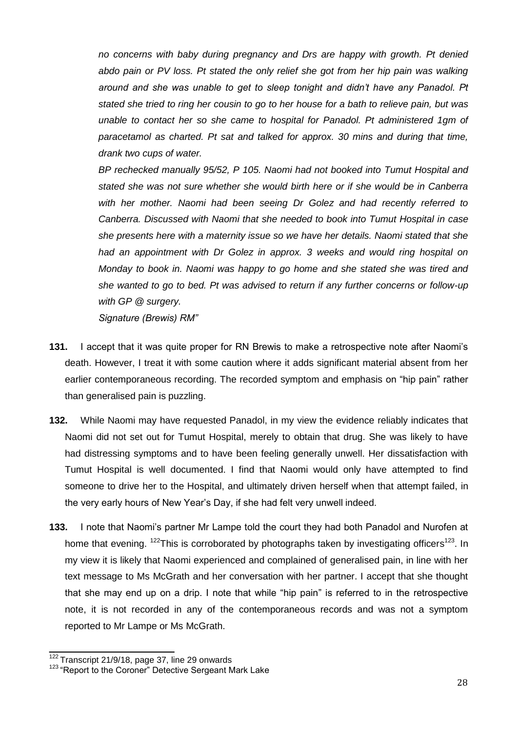*no concerns with baby during pregnancy and Drs are happy with growth. Pt denied*  abdo pain or PV loss. Pt stated the only relief she got from her hip pain was walking *around and she was unable to get to sleep tonight and didn't have any Panadol. Pt stated she tried to ring her cousin to go to her house for a bath to relieve pain, but was unable to contact her so she came to hospital for Panadol. Pt administered 1gm of paracetamol as charted. Pt sat and talked for approx. 30 mins and during that time, drank two cups of water.*

*BP rechecked manually 95/52, P 105. Naomi had not booked into Tumut Hospital and stated she was not sure whether she would birth here or if she would be in Canberra with her mother. Naomi had been seeing Dr Golez and had recently referred to Canberra. Discussed with Naomi that she needed to book into Tumut Hospital in case she presents here with a maternity issue so we have her details. Naomi stated that she had an appointment with Dr Golez in approx. 3 weeks and would ring hospital on Monday to book in. Naomi was happy to go home and she stated she was tired and she wanted to go to bed. Pt was advised to return if any further concerns or follow-up with GP @ surgery. Signature (Brewis) RM"*

- 131. I accept that it was quite proper for RN Brewis to make a retrospective note after Naomi's death. However, I treat it with some caution where it adds significant material absent from her earlier contemporaneous recording. The recorded symptom and emphasis on "hip pain" rather than generalised pain is puzzling.
- **132.** While Naomi may have requested Panadol, in my view the evidence reliably indicates that Naomi did not set out for Tumut Hospital, merely to obtain that drug. She was likely to have had distressing symptoms and to have been feeling generally unwell. Her dissatisfaction with Tumut Hospital is well documented. I find that Naomi would only have attempted to find someone to drive her to the Hospital, and ultimately driven herself when that attempt failed, in the very early hours of New Year's Day, if she had felt very unwell indeed.
- **133.** I note that Naomi's partner Mr Lampe told the court they had both Panadol and Nurofen at home that evening. <sup>122</sup>This is corroborated by photographs taken by investigating officers<sup>123</sup>. In my view it is likely that Naomi experienced and complained of generalised pain, in line with her text message to Ms McGrath and her conversation with her partner. I accept that she thought that she may end up on a drip. I note that while "hip pain" is referred to in the retrospective note, it is not recorded in any of the contemporaneous records and was not a symptom reported to Mr Lampe or Ms McGrath.

 $122$  Transcript 21/9/18, page 37, line 29 onwards

<sup>&</sup>lt;sup>123</sup> "Report to the Coroner" Detective Sergeant Mark Lake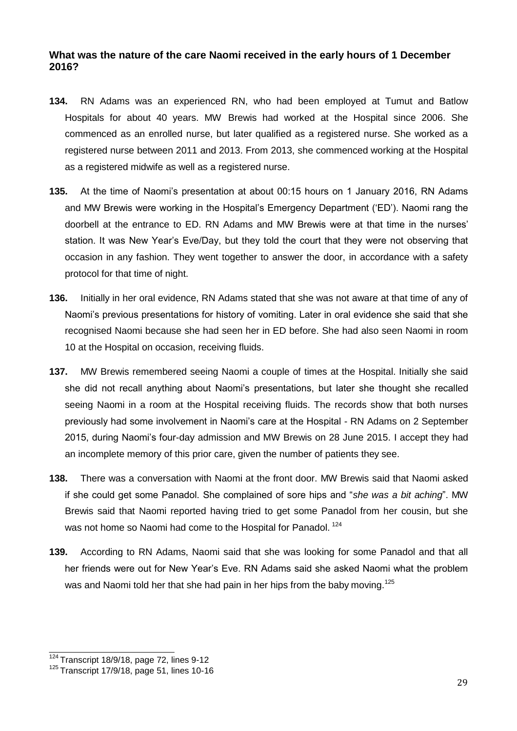# <span id="page-28-0"></span>**What was the nature of the care Naomi received in the early hours of 1 December 2016?**

- **134.** RN Adams was an experienced RN, who had been employed at Tumut and Batlow Hospitals for about 40 years. MW Brewis had worked at the Hospital since 2006. She commenced as an enrolled nurse, but later qualified as a registered nurse. She worked as a registered nurse between 2011 and 2013. From 2013, she commenced working at the Hospital as a registered midwife as well as a registered nurse.
- **135.** At the time of Naomi's presentation at about 00:15 hours on 1 January 2016, RN Adams and MW Brewis were working in the Hospital's Emergency Department ('ED'). Naomi rang the doorbell at the entrance to ED. RN Adams and MW Brewis were at that time in the nurses' station. It was New Year's Eve/Day, but they told the court that they were not observing that occasion in any fashion. They went together to answer the door, in accordance with a safety protocol for that time of night.
- **136.** Initially in her oral evidence, RN Adams stated that she was not aware at that time of any of Naomi's previous presentations for history of vomiting. Later in oral evidence she said that she recognised Naomi because she had seen her in ED before. She had also seen Naomi in room 10 at the Hospital on occasion, receiving fluids.
- **137.** MW Brewis remembered seeing Naomi a couple of times at the Hospital. Initially she said she did not recall anything about Naomi's presentations, but later she thought she recalled seeing Naomi in a room at the Hospital receiving fluids. The records show that both nurses previously had some involvement in Naomi's care at the Hospital - RN Adams on 2 September 2015, during Naomi's four-day admission and MW Brewis on 28 June 2015. I accept they had an incomplete memory of this prior care, given the number of patients they see.
- **138.** There was a conversation with Naomi at the front door. MW Brewis said that Naomi asked if she could get some Panadol. She complained of sore hips and "*she was a bit aching*". MW Brewis said that Naomi reported having tried to get some Panadol from her cousin, but she was not home so Naomi had come to the Hospital for Panadol.<sup>124</sup>
- **139.** According to RN Adams, Naomi said that she was looking for some Panadol and that all her friends were out for New Year's Eve. RN Adams said she asked Naomi what the problem was and Naomi told her that she had pain in her hips from the baby moving.<sup>125</sup>

 $\frac{124}{124}$ Transcript 18/9/18, page 72, lines 9-12

<sup>125</sup>Transcript 17/9/18, page 51, lines 10-16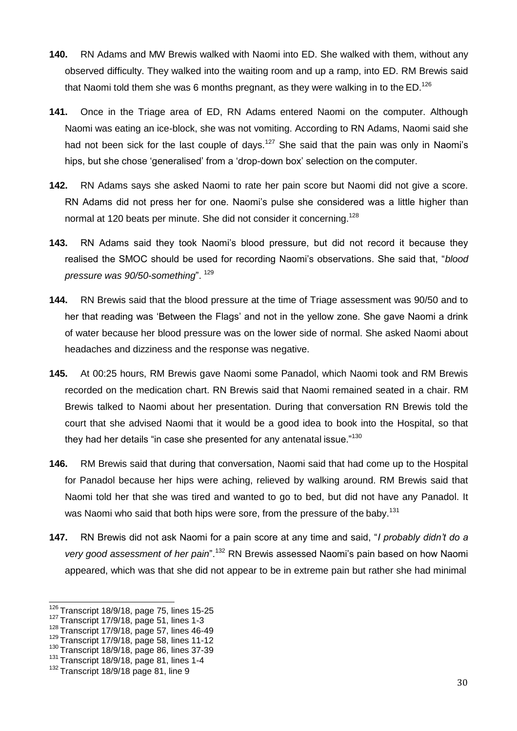- **140.** RN Adams and MW Brewis walked with Naomi into ED. She walked with them, without any observed difficulty. They walked into the waiting room and up a ramp, into ED. RM Brewis said that Naomi told them she was 6 months pregnant, as they were walking in to the  $ED.^{126}$
- **141.** Once in the Triage area of ED, RN Adams entered Naomi on the computer. Although Naomi was eating an ice-block, she was not vomiting. According to RN Adams, Naomi said she had not been sick for the last couple of days.<sup>127</sup> She said that the pain was only in Naomi's hips, but she chose 'generalised' from a 'drop-down box' selection on the computer.
- **142.** RN Adams says she asked Naomi to rate her pain score but Naomi did not give a score. RN Adams did not press her for one. Naomi's pulse she considered was a little higher than normal at 120 beats per minute. She did not consider it concerning.<sup>128</sup>
- **143.** RN Adams said they took Naomi's blood pressure, but did not record it because they realised the SMOC should be used for recording Naomi's observations. She said that, "*blood pressure was 90/50-something*". <sup>129</sup>
- **144.** RN Brewis said that the blood pressure at the time of Triage assessment was 90/50 and to her that reading was 'Between the Flags' and not in the yellow zone. She gave Naomi a drink of water because her blood pressure was on the lower side of normal. She asked Naomi about headaches and dizziness and the response was negative.
- **145.** At 00:25 hours, RM Brewis gave Naomi some Panadol, which Naomi took and RM Brewis recorded on the medication chart. RN Brewis said that Naomi remained seated in a chair. RM Brewis talked to Naomi about her presentation. During that conversation RN Brewis told the court that she advised Naomi that it would be a good idea to book into the Hospital, so that they had her details "in case she presented for any antenatal issue."<sup>130</sup>
- **146.** RM Brewis said that during that conversation, Naomi said that had come up to the Hospital for Panadol because her hips were aching, relieved by walking around. RM Brewis said that Naomi told her that she was tired and wanted to go to bed, but did not have any Panadol. It was Naomi who said that both hips were sore, from the pressure of the baby.<sup>131</sup>
- **147.** RN Brewis did not ask Naomi for a pain score at any time and said, "*I probably didn't do a very good assessment of her pain*".<sup>132</sup> RN Brewis assessed Naomi's pain based on how Naomi appeared, which was that she did not appear to be in extreme pain but rather she had minimal

 $126$  Transcript 18/9/18, page 75, lines 15-25

 $127$  Transcript 17/9/18, page 51, lines 1-3

 $128$  Transcript 17/9/18, page 57, lines 46-49

 $129$  Transcript 17/9/18, page 58, lines 11-12

 $130$  Transcript 18/9/18, page 86, lines 37-39

 $131$  Transcript 18/9/18, page 81, lines 1-4

 $132$  Transcript 18/9/18 page 81, line 9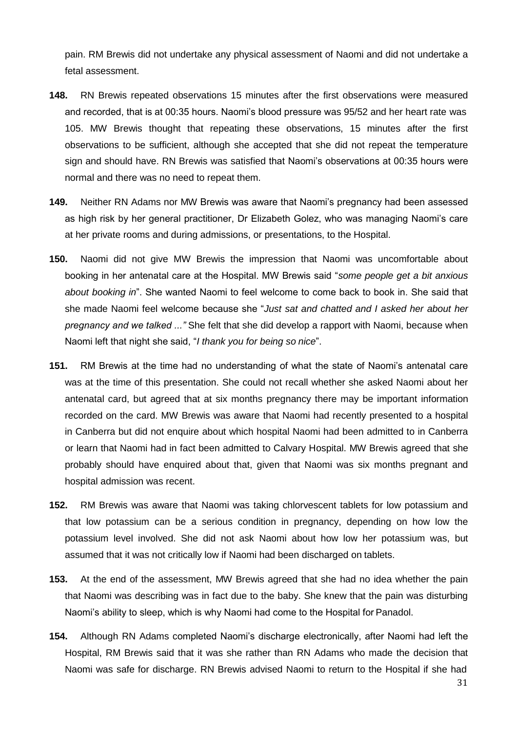pain. RM Brewis did not undertake any physical assessment of Naomi and did not undertake a fetal assessment.

- **148.** RN Brewis repeated observations 15 minutes after the first observations were measured and recorded, that is at 00:35 hours. Naomi's blood pressure was 95/52 and her heart rate was 105. MW Brewis thought that repeating these observations, 15 minutes after the first observations to be sufficient, although she accepted that she did not repeat the temperature sign and should have. RN Brewis was satisfied that Naomi's observations at 00:35 hours were normal and there was no need to repeat them.
- **149.** Neither RN Adams nor MW Brewis was aware that Naomi's pregnancy had been assessed as high risk by her general practitioner, Dr Elizabeth Golez, who was managing Naomi's care at her private rooms and during admissions, or presentations, to the Hospital.
- **150.** Naomi did not give MW Brewis the impression that Naomi was uncomfortable about booking in her antenatal care at the Hospital. MW Brewis said "*some people get a bit anxious about booking in*". She wanted Naomi to feel welcome to come back to book in. She said that she made Naomi feel welcome because she "*Just sat and chatted and I asked her about her pregnancy and we talked ..."* She felt that she did develop a rapport with Naomi, because when Naomi left that night she said, "*I thank you for being so nice*".
- **151.** RM Brewis at the time had no understanding of what the state of Naomi's antenatal care was at the time of this presentation. She could not recall whether she asked Naomi about her antenatal card, but agreed that at six months pregnancy there may be important information recorded on the card. MW Brewis was aware that Naomi had recently presented to a hospital in Canberra but did not enquire about which hospital Naomi had been admitted to in Canberra or learn that Naomi had in fact been admitted to Calvary Hospital. MW Brewis agreed that she probably should have enquired about that, given that Naomi was six months pregnant and hospital admission was recent.
- **152.** RM Brewis was aware that Naomi was taking chlorvescent tablets for low potassium and that low potassium can be a serious condition in pregnancy, depending on how low the potassium level involved. She did not ask Naomi about how low her potassium was, but assumed that it was not critically low if Naomi had been discharged on tablets.
- **153.** At the end of the assessment, MW Brewis agreed that she had no idea whether the pain that Naomi was describing was in fact due to the baby. She knew that the pain was disturbing Naomi's ability to sleep, which is why Naomi had come to the Hospital for Panadol.
- **154.** Although RN Adams completed Naomi's discharge electronically, after Naomi had left the Hospital, RM Brewis said that it was she rather than RN Adams who made the decision that Naomi was safe for discharge. RN Brewis advised Naomi to return to the Hospital if she had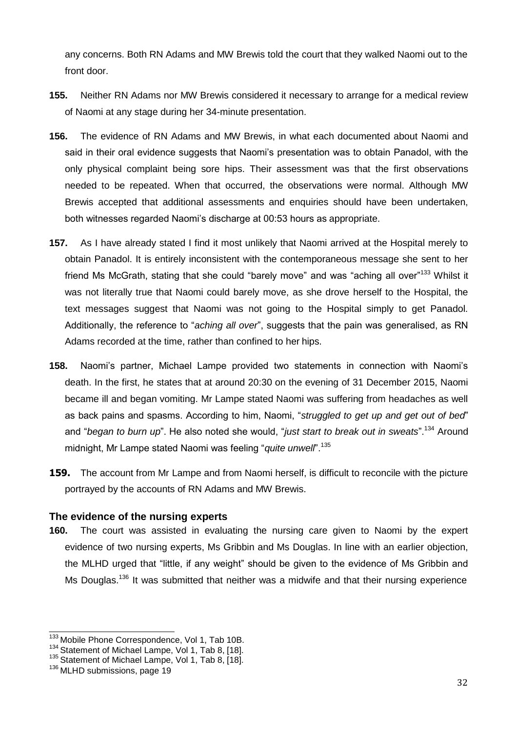any concerns. Both RN Adams and MW Brewis told the court that they walked Naomi out to the front door.

- **155.** Neither RN Adams nor MW Brewis considered it necessary to arrange for a medical review of Naomi at any stage during her 34-minute presentation.
- **156.** The evidence of RN Adams and MW Brewis, in what each documented about Naomi and said in their oral evidence suggests that Naomi's presentation was to obtain Panadol, with the only physical complaint being sore hips. Their assessment was that the first observations needed to be repeated. When that occurred, the observations were normal. Although MW Brewis accepted that additional assessments and enquiries should have been undertaken, both witnesses regarded Naomi's discharge at 00:53 hours as appropriate.
- **157.** As I have already stated I find it most unlikely that Naomi arrived at the Hospital merely to obtain Panadol. It is entirely inconsistent with the contemporaneous message she sent to her friend Ms McGrath, stating that she could "barely move" and was "aching all over"<sup>133</sup> Whilst it was not literally true that Naomi could barely move, as she drove herself to the Hospital, the text messages suggest that Naomi was not going to the Hospital simply to get Panadol. Additionally, the reference to "*aching all over*", suggests that the pain was generalised, as RN Adams recorded at the time, rather than confined to her hips.
- **158.** Naomi's partner, Michael Lampe provided two statements in connection with Naomi's death. In the first, he states that at around 20:30 on the evening of 31 December 2015, Naomi became ill and began vomiting. Mr Lampe stated Naomi was suffering from headaches as well as back pains and spasms. According to him, Naomi, "*struggled to get up and get out of bed*" and "*began to burn up*". He also noted she would, "*just start to break out in sweats*".<sup>134</sup> Around midnight, Mr Lampe stated Naomi was feeling "*quite unwell*".<sup>135</sup>
- **159.** The account from Mr Lampe and from Naomi herself, is difficult to reconcile with the picture portrayed by the accounts of RN Adams and MW Brewis.

# <span id="page-31-0"></span>**The evidence of the nursing experts**

**160.** The court was assisted in evaluating the nursing care given to Naomi by the expert evidence of two nursing experts, Ms Gribbin and Ms Douglas. In line with an earlier objection, the MLHD urged that "little, if any weight" should be given to the evidence of Ms Gribbin and Ms Douglas.<sup>136</sup> It was submitted that neither was a midwife and that their nursing experience

<sup>133</sup> Mobile Phone Correspondence, Vol 1, Tab 10B.

<sup>&</sup>lt;sup>134</sup> Statement of Michael Lampe, Vol 1, Tab 8, [18].

<sup>135</sup> Statement of Michael Lampe, Vol 1, Tab 8, [18].

<sup>136</sup> MLHD submissions, page 19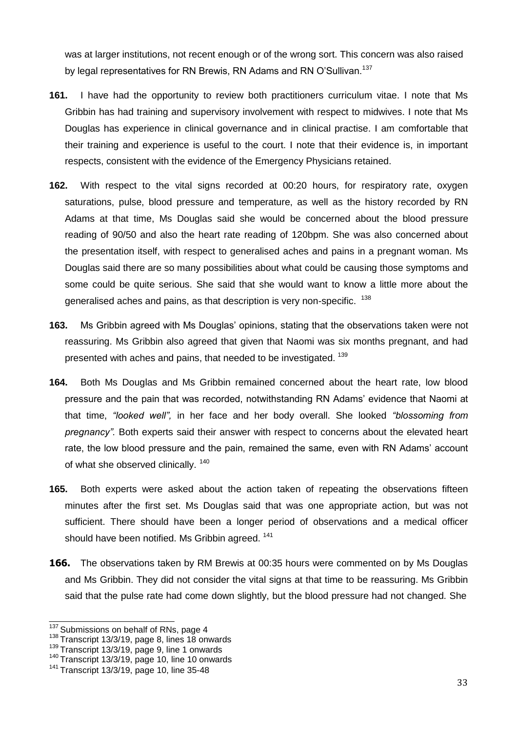was at larger institutions, not recent enough or of the wrong sort. This concern was also raised by legal representatives for RN Brewis, RN Adams and RN O'Sullivan.<sup>137</sup>

- **161.** I have had the opportunity to review both practitioners curriculum vitae. I note that Ms Gribbin has had training and supervisory involvement with respect to midwives. I note that Ms Douglas has experience in clinical governance and in clinical practise. I am comfortable that their training and experience is useful to the court. I note that their evidence is, in important respects, consistent with the evidence of the Emergency Physicians retained.
- **162.** With respect to the vital signs recorded at 00:20 hours, for respiratory rate, oxygen saturations, pulse, blood pressure and temperature, as well as the history recorded by RN Adams at that time, Ms Douglas said she would be concerned about the blood pressure reading of 90/50 and also the heart rate reading of 120bpm. She was also concerned about the presentation itself, with respect to generalised aches and pains in a pregnant woman. Ms Douglas said there are so many possibilities about what could be causing those symptoms and some could be quite serious. She said that she would want to know a little more about the generalised aches and pains, as that description is very non-specific. <sup>138</sup>
- **163.** Ms Gribbin agreed with Ms Douglas' opinions, stating that the observations taken were not reassuring. Ms Gribbin also agreed that given that Naomi was six months pregnant, and had presented with aches and pains, that needed to be investigated. <sup>139</sup>
- **164.** Both Ms Douglas and Ms Gribbin remained concerned about the heart rate, low blood pressure and the pain that was recorded, notwithstanding RN Adams' evidence that Naomi at that time, *"looked well",* in her face and her body overall. She looked *"blossoming from pregnancy".* Both experts said their answer with respect to concerns about the elevated heart rate, the low blood pressure and the pain, remained the same, even with RN Adams' account of what she observed clinically.<sup>140</sup>
- **165.** Both experts were asked about the action taken of repeating the observations fifteen minutes after the first set. Ms Douglas said that was one appropriate action, but was not sufficient. There should have been a longer period of observations and a medical officer should have been notified. Ms Gribbin agreed. <sup>141</sup>
- **166.** The observations taken by RM Brewis at 00:35 hours were commented on by Ms Douglas and Ms Gribbin. They did not consider the vital signs at that time to be reassuring. Ms Gribbin said that the pulse rate had come down slightly, but the blood pressure had not changed. She

<sup>&</sup>lt;sup>137</sup> Submissions on behalf of RNs, page 4

 $138$  Transcript 13/3/19, page 8, lines 18 onwards

<sup>&</sup>lt;sup>139</sup> Transcript 13/3/19, page 9, line 1 onwards

 $140$  Transcript 13/3/19, page 10, line 10 onwards

 $141$  Transcript 13/3/19, page 10, line 35-48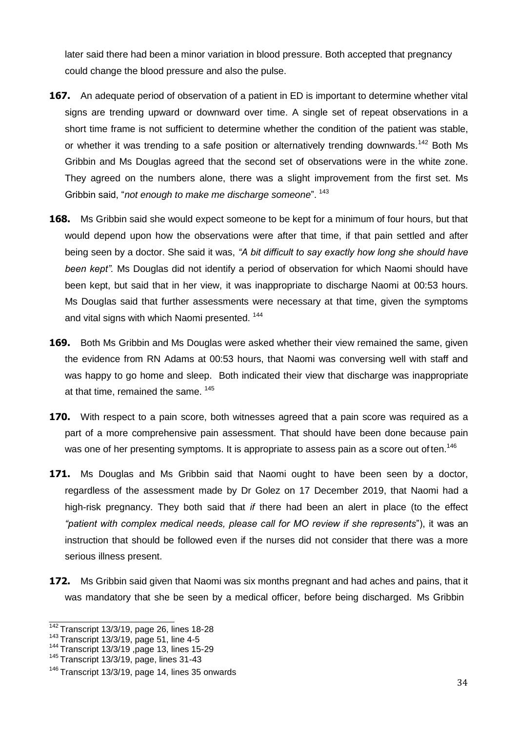later said there had been a minor variation in blood pressure. Both accepted that pregnancy could change the blood pressure and also the pulse.

- **167.** An adequate period of observation of a patient in ED is important to determine whether vital signs are trending upward or downward over time. A single set of repeat observations in a short time frame is not sufficient to determine whether the condition of the patient was stable, or whether it was trending to a safe position or alternatively trending downwards.<sup>142</sup> Both Ms Gribbin and Ms Douglas agreed that the second set of observations were in the white zone. They agreed on the numbers alone, there was a slight improvement from the first set. Ms Gribbin said, "*not enough to make me discharge someone*". <sup>143</sup>
- **168.** Ms Gribbin said she would expect someone to be kept for a minimum of four hours, but that would depend upon how the observations were after that time, if that pain settled and after being seen by a doctor. She said it was, *"A bit difficult to say exactly how long she should have been kept".* Ms Douglas did not identify a period of observation for which Naomi should have been kept, but said that in her view, it was inappropriate to discharge Naomi at 00:53 hours. Ms Douglas said that further assessments were necessary at that time, given the symptoms and vital signs with which Naomi presented.<sup>144</sup>
- **169.** Both Ms Gribbin and Ms Douglas were asked whether their view remained the same, given the evidence from RN Adams at 00:53 hours, that Naomi was conversing well with staff and was happy to go home and sleep. Both indicated their view that discharge was inappropriate at that time, remained the same. <sup>145</sup>
- **170.** With respect to a pain score, both witnesses agreed that a pain score was required as a part of a more comprehensive pain assessment. That should have been done because pain was one of her presenting symptoms. It is appropriate to assess pain as a score out of ten.<sup>146</sup>
- **171.** Ms Douglas and Ms Gribbin said that Naomi ought to have been seen by a doctor, regardless of the assessment made by Dr Golez on 17 December 2019, that Naomi had a high-risk pregnancy. They both said that *if* there had been an alert in place (to the effect *"patient with complex medical needs, please call for MO review if she represents*"), it was an instruction that should be followed even if the nurses did not consider that there was a more serious illness present.
- **172.** Ms Gribbin said given that Naomi was six months pregnant and had aches and pains, that it was mandatory that she be seen by a medical officer, before being discharged. Ms Gribbin

 $\frac{142}{142}$ Transcript 13/3/19, page 26, lines 18-28

<sup>143</sup>Transcript 13/3/19, page 51, line 4-5

<sup>144</sup>Transcript 13/3/19 ,page 13, lines 15-29

 $145$  Transcript 13/3/19, page, lines 31-43

 $146$  Transcript 13/3/19, page 14, lines 35 onwards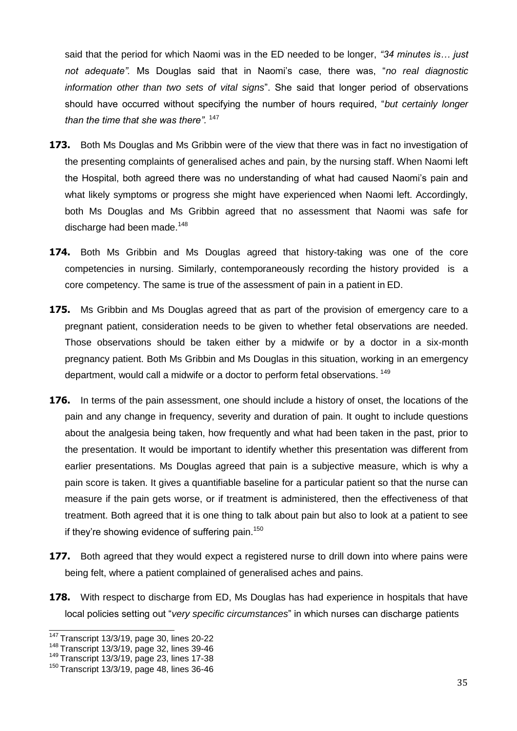said that the period for which Naomi was in the ED needed to be longer, *"34 minutes is… just not adequate".* Ms Douglas said that in Naomi's case, there was, "*no real diagnostic information other than two sets of vital signs*". She said that longer period of observations should have occurred without specifying the number of hours required, "*but certainly longer than the time that she was there".* <sup>147</sup>

- **173.** Both Ms Douglas and Ms Gribbin were of the view that there was in fact no investigation of the presenting complaints of generalised aches and pain, by the nursing staff. When Naomi left the Hospital, both agreed there was no understanding of what had caused Naomi's pain and what likely symptoms or progress she might have experienced when Naomi left. Accordingly, both Ms Douglas and Ms Gribbin agreed that no assessment that Naomi was safe for discharge had been made.<sup>148</sup>
- **174.** Both Ms Gribbin and Ms Douglas agreed that history-taking was one of the core competencies in nursing. Similarly, contemporaneously recording the history provided is a core competency. The same is true of the assessment of pain in a patient in ED.
- **175.** Ms Gribbin and Ms Douglas agreed that as part of the provision of emergency care to a pregnant patient, consideration needs to be given to whether fetal observations are needed. Those observations should be taken either by a midwife or by a doctor in a six-month pregnancy patient. Both Ms Gribbin and Ms Douglas in this situation, working in an emergency department, would call a midwife or a doctor to perform fetal observations. <sup>149</sup>
- **176.** In terms of the pain assessment, one should include a history of onset, the locations of the pain and any change in frequency, severity and duration of pain. It ought to include questions about the analgesia being taken, how frequently and what had been taken in the past, prior to the presentation. It would be important to identify whether this presentation was different from earlier presentations. Ms Douglas agreed that pain is a subjective measure, which is why a pain score is taken. It gives a quantifiable baseline for a particular patient so that the nurse can measure if the pain gets worse, or if treatment is administered, then the effectiveness of that treatment. Both agreed that it is one thing to talk about pain but also to look at a patient to see if they're showing evidence of suffering pain.<sup>150</sup>
- **177.** Both agreed that they would expect a registered nurse to drill down into where pains were being felt, where a patient complained of generalised aches and pains.
- **178.** With respect to discharge from ED, Ms Douglas has had experience in hospitals that have local policies setting out "*very specific circumstances*" in which nurses can discharge patients

<sup>147</sup>Transcript 13/3/19, page 30, lines 20-22

 $148$  Transcript 13/3/19, page 32, lines 39-46

<sup>&</sup>lt;sup>149</sup> Transcript 13/3/19, page 23, lines 17-38

 $150$  Transcript 13/3/19, page 48, lines 36-46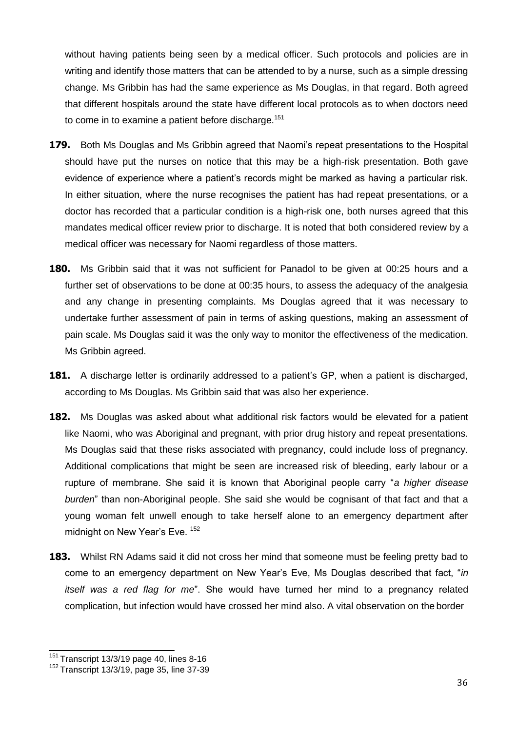without having patients being seen by a medical officer. Such protocols and policies are in writing and identify those matters that can be attended to by a nurse, such as a simple dressing change. Ms Gribbin has had the same experience as Ms Douglas, in that regard. Both agreed that different hospitals around the state have different local protocols as to when doctors need to come in to examine a patient before discharge.<sup>151</sup>

- **179.** Both Ms Douglas and Ms Gribbin agreed that Naomi's repeat presentations to the Hospital should have put the nurses on notice that this may be a high-risk presentation. Both gave evidence of experience where a patient's records might be marked as having a particular risk. In either situation, where the nurse recognises the patient has had repeat presentations, or a doctor has recorded that a particular condition is a high-risk one, both nurses agreed that this mandates medical officer review prior to discharge. It is noted that both considered review by a medical officer was necessary for Naomi regardless of those matters.
- **180.** Ms Gribbin said that it was not sufficient for Panadol to be given at 00:25 hours and a further set of observations to be done at 00:35 hours, to assess the adequacy of the analgesia and any change in presenting complaints. Ms Douglas agreed that it was necessary to undertake further assessment of pain in terms of asking questions, making an assessment of pain scale. Ms Douglas said it was the only way to monitor the effectiveness of the medication. Ms Gribbin agreed.
- **181.** A discharge letter is ordinarily addressed to a patient's GP, when a patient is discharged, according to Ms Douglas. Ms Gribbin said that was also her experience.
- **182.** Ms Douglas was asked about what additional risk factors would be elevated for a patient like Naomi, who was Aboriginal and pregnant, with prior drug history and repeat presentations. Ms Douglas said that these risks associated with pregnancy, could include loss of pregnancy. Additional complications that might be seen are increased risk of bleeding, early labour or a rupture of membrane. She said it is known that Aboriginal people carry "*a higher disease burden*" than non-Aboriginal people. She said she would be cognisant of that fact and that a young woman felt unwell enough to take herself alone to an emergency department after midnight on New Year's Eve. 152
- **183.** Whilst RN Adams said it did not cross her mind that someone must be feeling pretty bad to come to an emergency department on New Year's Eve, Ms Douglas described that fact, "*in itself was a red flag for me*". She would have turned her mind to a pregnancy related complication, but infection would have crossed her mind also. A vital observation on the border

 $151$  Transcript 13/3/19 page 40, lines 8-16

<sup>152</sup>Transcript 13/3/19, page 35, line 37-39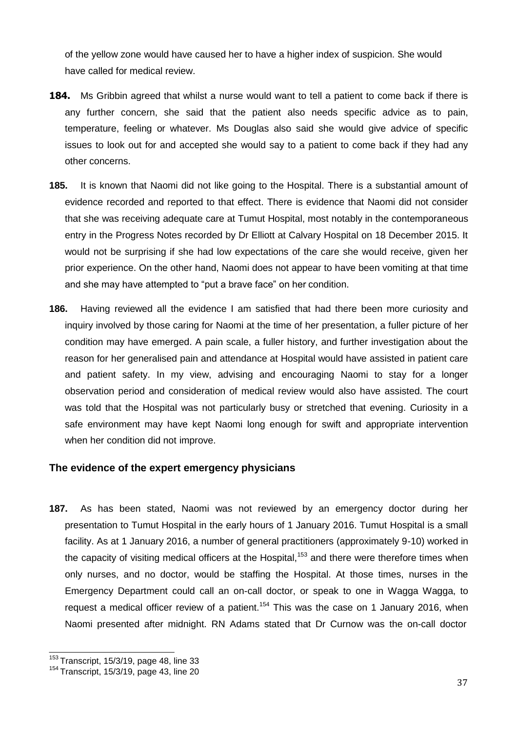of the yellow zone would have caused her to have a higher index of suspicion. She would have called for medical review.

- **184.** Ms Gribbin agreed that whilst a nurse would want to tell a patient to come back if there is any further concern, she said that the patient also needs specific advice as to pain, temperature, feeling or whatever. Ms Douglas also said she would give advice of specific issues to look out for and accepted she would say to a patient to come back if they had any other concerns.
- **185.** It is known that Naomi did not like going to the Hospital. There is a substantial amount of evidence recorded and reported to that effect. There is evidence that Naomi did not consider that she was receiving adequate care at Tumut Hospital, most notably in the contemporaneous entry in the Progress Notes recorded by Dr Elliott at Calvary Hospital on 18 December 2015. It would not be surprising if she had low expectations of the care she would receive, given her prior experience. On the other hand, Naomi does not appear to have been vomiting at that time and she may have attempted to "put a brave face" on her condition.
- **186.** Having reviewed all the evidence I am satisfied that had there been more curiosity and inquiry involved by those caring for Naomi at the time of her presentation, a fuller picture of her condition may have emerged. A pain scale, a fuller history, and further investigation about the reason for her generalised pain and attendance at Hospital would have assisted in patient care and patient safety. In my view, advising and encouraging Naomi to stay for a longer observation period and consideration of medical review would also have assisted. The court was told that the Hospital was not particularly busy or stretched that evening. Curiosity in a safe environment may have kept Naomi long enough for swift and appropriate intervention when her condition did not improve.

# <span id="page-36-0"></span>**The evidence of the expert emergency physicians**

**187.** As has been stated, Naomi was not reviewed by an emergency doctor during her presentation to Tumut Hospital in the early hours of 1 January 2016. Tumut Hospital is a small facility. As at 1 January 2016, a number of general practitioners (approximately 9-10) worked in the capacity of visiting medical officers at the Hospital,<sup>153</sup> and there were therefore times when only nurses, and no doctor, would be staffing the Hospital. At those times, nurses in the Emergency Department could call an on-call doctor, or speak to one in Wagga Wagga, to request a medical officer review of a patient.<sup>154</sup> This was the case on 1 January 2016, when Naomi presented after midnight. RN Adams stated that Dr Curnow was the on-call doctor

 $153$  Transcript, 15/3/19, page 48, line 33

 $154$  Transcript, 15/3/19, page 43, line 20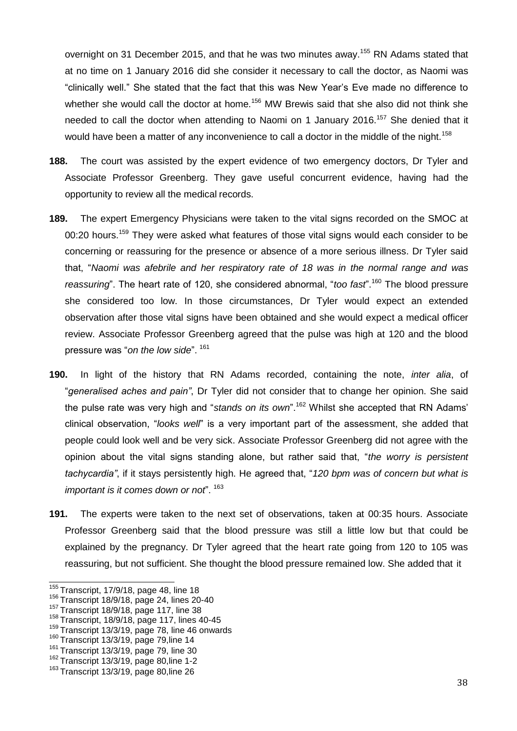overnight on 31 December 2015, and that he was two minutes away.<sup>155</sup> RN Adams stated that at no time on 1 January 2016 did she consider it necessary to call the doctor, as Naomi was "clinically well." She stated that the fact that this was New Year's Eve made no difference to whether she would call the doctor at home.<sup>156</sup> MW Brewis said that she also did not think she needed to call the doctor when attending to Naomi on 1 January 2016.<sup>157</sup> She denied that it would have been a matter of any inconvenience to call a doctor in the middle of the night.<sup>158</sup>

- **188.** The court was assisted by the expert evidence of two emergency doctors, Dr Tyler and Associate Professor Greenberg. They gave useful concurrent evidence, having had the opportunity to review all the medical records.
- **189.** The expert Emergency Physicians were taken to the vital signs recorded on the SMOC at 00:20 hours.<sup>159</sup> They were asked what features of those vital signs would each consider to be concerning or reassuring for the presence or absence of a more serious illness. Dr Tyler said that, "*Naomi was afebrile and her respiratory rate of 18 was in the normal range and was reassuring*". The heart rate of 120, she considered abnormal, "*too fast*".<sup>160</sup> The blood pressure she considered too low. In those circumstances, Dr Tyler would expect an extended observation after those vital signs have been obtained and she would expect a medical officer review. Associate Professor Greenberg agreed that the pulse was high at 120 and the blood pressure was "*on the low side*". <sup>161</sup>
- **190.** In light of the history that RN Adams recorded, containing the note, *inter alia*, of "*generalised aches and pain"*, Dr Tyler did not consider that to change her opinion. She said the pulse rate was very high and "*stands on its own*".<sup>162</sup> Whilst she accepted that RN Adams' clinical observation, "*looks well*" is a very important part of the assessment, she added that people could look well and be very sick. Associate Professor Greenberg did not agree with the opinion about the vital signs standing alone, but rather said that, "*the worry is persistent tachycardia"*, if it stays persistently high. He agreed that, "*120 bpm was of concern but what is important is it comes down or not*". <sup>163</sup>
- **191.** The experts were taken to the next set of observations, taken at 00:35 hours. Associate Professor Greenberg said that the blood pressure was still a little low but that could be explained by the pregnancy. Dr Tyler agreed that the heart rate going from 120 to 105 was reassuring, but not sufficient. She thought the blood pressure remained low. She added that it

 $155$  Transcript, 17/9/18, page 48, line 18

<sup>&</sup>lt;sup>156</sup> Transcript 18/9/18, page 24, lines 20-40

<sup>157</sup>Transcript 18/9/18, page 117, line 38

<sup>&</sup>lt;sup>158</sup> Transcript, 18/9/18, page 117, lines 40-45

<sup>&</sup>lt;sup>159</sup> Transcript 13/3/19, page 78, line 46 onwards

 $160$  Transcript 13/3/19, page 79, line 14

 $161$  Transcript 13/3/19, page 79, line 30

<sup>&</sup>lt;sup>162</sup> Transcript 13/3/19, page 80, line 1-2

 $163$  Transcript 13/3/19, page 80, line 26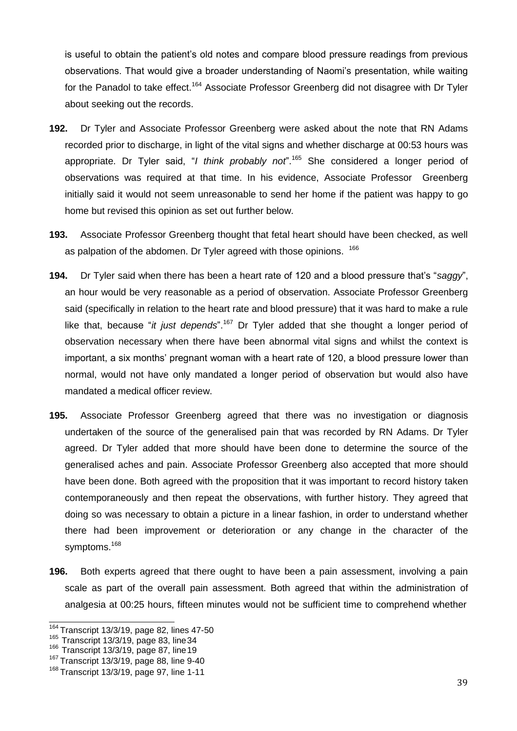is useful to obtain the patient's old notes and compare blood pressure readings from previous observations. That would give a broader understanding of Naomi's presentation, while waiting for the Panadol to take effect.<sup>164</sup> Associate Professor Greenberg did not disagree with Dr Tyler about seeking out the records.

- **192.** Dr Tyler and Associate Professor Greenberg were asked about the note that RN Adams recorded prior to discharge, in light of the vital signs and whether discharge at 00:53 hours was appropriate. Dr Tyler said, "*I think probably not*".<sup>165</sup> She considered a longer period of observations was required at that time. In his evidence, Associate Professor Greenberg initially said it would not seem unreasonable to send her home if the patient was happy to go home but revised this opinion as set out further below.
- **193.** Associate Professor Greenberg thought that fetal heart should have been checked, as well as palpation of the abdomen. Dr Tyler agreed with those opinions. <sup>166</sup>
- **194.** Dr Tyler said when there has been a heart rate of 120 and a blood pressure that's "*saggy*", an hour would be very reasonable as a period of observation. Associate Professor Greenberg said (specifically in relation to the heart rate and blood pressure) that it was hard to make a rule like that, because "*it just depends*".<sup>167</sup> Dr Tyler added that she thought a longer period of observation necessary when there have been abnormal vital signs and whilst the context is important, a six months' pregnant woman with a heart rate of 120, a blood pressure lower than normal, would not have only mandated a longer period of observation but would also have mandated a medical officer review.
- **195.** Associate Professor Greenberg agreed that there was no investigation or diagnosis undertaken of the source of the generalised pain that was recorded by RN Adams. Dr Tyler agreed. Dr Tyler added that more should have been done to determine the source of the generalised aches and pain. Associate Professor Greenberg also accepted that more should have been done. Both agreed with the proposition that it was important to record history taken contemporaneously and then repeat the observations, with further history. They agreed that doing so was necessary to obtain a picture in a linear fashion, in order to understand whether there had been improvement or deterioration or any change in the character of the symptoms.<sup>168</sup>
- **196.** Both experts agreed that there ought to have been a pain assessment, involving a pain scale as part of the overall pain assessment. Both agreed that within the administration of analgesia at 00:25 hours, fifteen minutes would not be sufficient time to comprehend whether

 $164$  Transcript 13/3/19, page 82, lines 47-50

<sup>165</sup>Transcript 13/3/19, page 83, line34

 $166$  Transcript 13/3/19, page 87, line 19

 $167$  Transcript 13/3/19, page 88, line 9-40

<sup>&</sup>lt;sup>168</sup> Transcript 13/3/19, page 97, line 1-11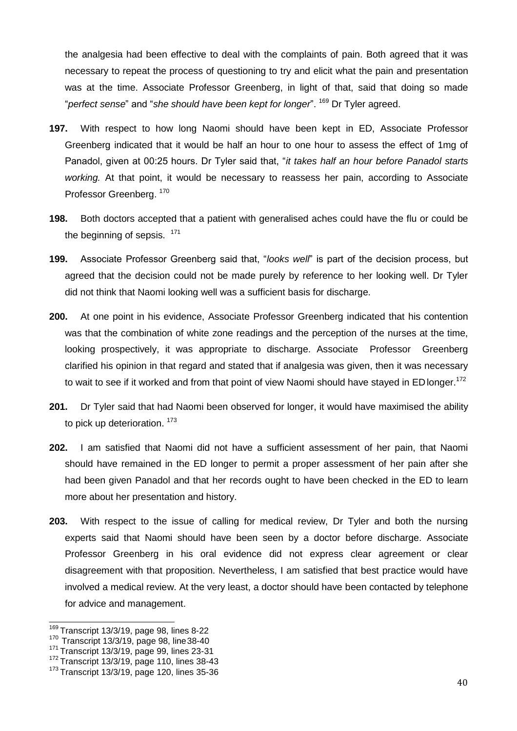the analgesia had been effective to deal with the complaints of pain. Both agreed that it was necessary to repeat the process of questioning to try and elicit what the pain and presentation was at the time. Associate Professor Greenberg, in light of that, said that doing so made "*perfect sense*" and "*she should have been kept for longer*". <sup>169</sup> Dr Tyler agreed.

- **197.** With respect to how long Naomi should have been kept in ED, Associate Professor Greenberg indicated that it would be half an hour to one hour to assess the effect of 1mg of Panadol, given at 00:25 hours. Dr Tyler said that, "*it takes half an hour before Panadol starts working.* At that point, it would be necessary to reassess her pain, according to Associate Professor Greenberg. 170
- **198.** Both doctors accepted that a patient with generalised aches could have the flu or could be the beginning of sepsis.  $171$
- **199.** Associate Professor Greenberg said that, "*looks well*" is part of the decision process, but agreed that the decision could not be made purely by reference to her looking well. Dr Tyler did not think that Naomi looking well was a sufficient basis for discharge.
- **200.** At one point in his evidence, Associate Professor Greenberg indicated that his contention was that the combination of white zone readings and the perception of the nurses at the time, looking prospectively, it was appropriate to discharge. Associate Professor Greenberg clarified his opinion in that regard and stated that if analgesia was given, then it was necessary to wait to see if it worked and from that point of view Naomi should have stayed in ED longer.<sup>172</sup>
- **201.** Dr Tyler said that had Naomi been observed for longer, it would have maximised the ability to pick up deterioration.<sup>173</sup>
- **202.** I am satisfied that Naomi did not have a sufficient assessment of her pain, that Naomi should have remained in the ED longer to permit a proper assessment of her pain after she had been given Panadol and that her records ought to have been checked in the ED to learn more about her presentation and history.
- **203.** With respect to the issue of calling for medical review, Dr Tyler and both the nursing experts said that Naomi should have been seen by a doctor before discharge. Associate Professor Greenberg in his oral evidence did not express clear agreement or clear disagreement with that proposition. Nevertheless, I am satisfied that best practice would have involved a medical review. At the very least, a doctor should have been contacted by telephone for advice and management.

 $\overline{169}$ Transcript 13/3/19, page 98, lines 8-22

 $170$  Transcript 13/3/19, page 98, line 38-40

 $171$  Transcript 13/3/19, page 99, lines 23-31

<sup>172</sup> Transcript 13/3/19, page 110, lines 38-43

<sup>&</sup>lt;sup>173</sup> Transcript 13/3/19, page 120, lines 35-36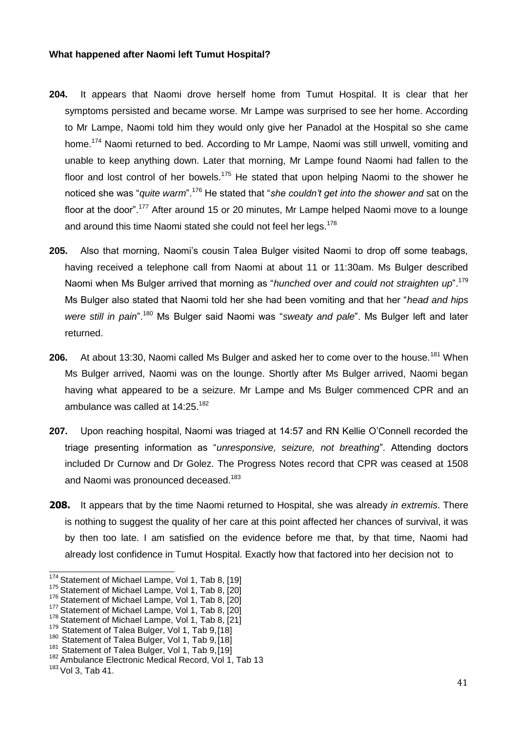### <span id="page-40-0"></span>**What happened after Naomi left Tumut Hospital?**

- **204.** It appears that Naomi drove herself home from Tumut Hospital. It is clear that her symptoms persisted and became worse. Mr Lampe was surprised to see her home. According to Mr Lampe, Naomi told him they would only give her Panadol at the Hospital so she came home.<sup>174</sup> Naomi returned to bed. According to Mr Lampe, Naomi was still unwell, vomiting and unable to keep anything down. Later that morning, Mr Lampe found Naomi had fallen to the floor and lost control of her bowels.<sup>175</sup> He stated that upon helping Naomi to the shower he noticed she was "*quite warm*".<sup>176</sup> He stated that "*she couldn't get into the shower and* sat on the floor at the door".<sup>177</sup> After around 15 or 20 minutes, Mr Lampe helped Naomi move to a lounge and around this time Naomi stated she could not feel her legs.<sup>178</sup>
- **205.** Also that morning, Naomi's cousin Talea Bulger visited Naomi to drop off some teabags, having received a telephone call from Naomi at about 11 or 11:30am. Ms Bulger described Naomi when Ms Bulger arrived that morning as "*hunched over and could not straighten up*".<sup>179</sup> Ms Bulger also stated that Naomi told her she had been vomiting and that her "*head and hips were still in pain*".<sup>180</sup> Ms Bulger said Naomi was "*sweaty and pale*". Ms Bulger left and later returned.
- **206.** At about 13:30, Naomi called Ms Bulger and asked her to come over to the house.<sup>181</sup> When Ms Bulger arrived, Naomi was on the lounge. Shortly after Ms Bulger arrived, Naomi began having what appeared to be a seizure. Mr Lampe and Ms Bulger commenced CPR and an ambulance was called at 14:25.<sup>182</sup>
- **207.** Upon reaching hospital, Naomi was triaged at 14:57 and RN Kellie O'Connell recorded the triage presenting information as "*unresponsive, seizure, not breathing*". Attending doctors included Dr Curnow and Dr Golez. The Progress Notes record that CPR was ceased at 1508 and Naomi was pronounced deceased.<sup>183</sup>
- **208.** It appears that by the time Naomi returned to Hospital, she was already *in extremis*. There is nothing to suggest the quality of her care at this point affected her chances of survival, it was by then too late. I am satisfied on the evidence before me that, by that time, Naomi had already lost confidence in Tumut Hospital. Exactly how that factored into her decision not to

 $174$  Statement of Michael Lampe, Vol 1, Tab 8, [19]

<sup>&</sup>lt;sup>175</sup> Statement of Michael Lampe, Vol 1, Tab 8, [20]

<sup>176</sup> Statement of Michael Lampe, Vol 1, Tab 8, [20]

<sup>177</sup> Statement of Michael Lampe, Vol 1, Tab 8, [20]

 $178$  Statement of Michael Lampe, Vol 1, Tab 8, [21]

<sup>179</sup> Statement of Talea Bulger, Vol 1, Tab 9,[18]

<sup>180</sup> Statement of Talea Bulger, Vol 1, Tab 9,[18]

<sup>&</sup>lt;sup>181</sup> Statement of Talea Bulger, Vol 1, Tab 9,[19]

<sup>182</sup> Ambulance Electronic Medical Record, Vol 1, Tab 13

 $183$  Vol 3, Tab 41.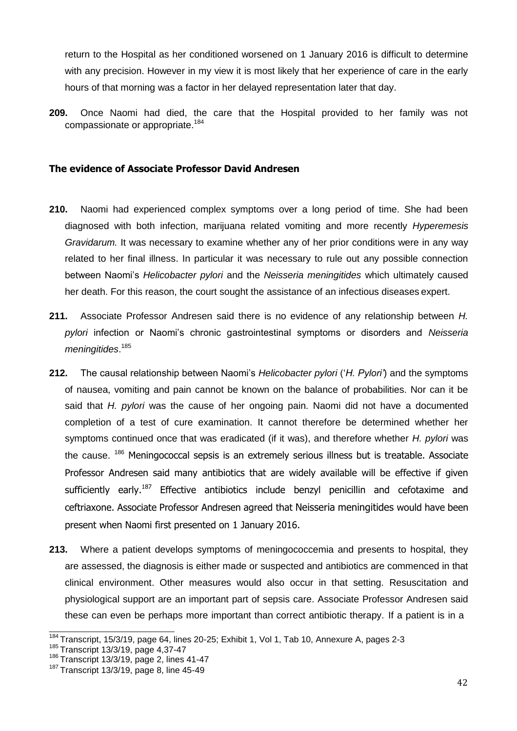return to the Hospital as her conditioned worsened on 1 January 2016 is difficult to determine with any precision. However in my view it is most likely that her experience of care in the early hours of that morning was a factor in her delayed representation later that day.

**209.** Once Naomi had died, the care that the Hospital provided to her family was not compassionate or appropriate.<sup>184</sup>

### **The evidence of Associate Professor David Andresen**

- **210.** Naomi had experienced complex symptoms over a long period of time. She had been diagnosed with both infection, marijuana related vomiting and more recently *Hyperemesis Gravidarum.* It was necessary to examine whether any of her prior conditions were in any way related to her final illness. In particular it was necessary to rule out any possible connection between Naomi's *Helicobacter pylori* and the *Neisseria meningitides* which ultimately caused her death. For this reason, the court sought the assistance of an infectious diseases expert.
- **211.** Associate Professor Andresen said there is no evidence of any relationship between *H. pylori* infection or Naomi's chronic gastrointestinal symptoms or disorders and *Neisseria meningitides*. 185
- **212.** The causal relationship between Naomi's *Helicobacter pylori* ('*H. Pylori'*) and the symptoms of nausea, vomiting and pain cannot be known on the balance of probabilities. Nor can it be said that *H. pylori* was the cause of her ongoing pain. Naomi did not have a documented completion of a test of cure examination. It cannot therefore be determined whether her symptoms continued once that was eradicated (if it was), and therefore whether *H. pylori* was the cause. <sup>186</sup> Meningococcal sepsis is an extremely serious illness but is treatable. Associate Professor Andresen said many antibiotics that are widely available will be effective if given sufficiently early.<sup>187</sup> Effective antibiotics include benzyl penicillin and cefotaxime and ceftriaxone. Associate Professor Andresen agreed that Neisseria meningitides would have been present when Naomi first presented on 1 January 2016.
- **213.** Where a patient develops symptoms of meningococcemia and presents to hospital, they are assessed, the diagnosis is either made or suspected and antibiotics are commenced in that clinical environment. Other measures would also occur in that setting. Resuscitation and physiological support are an important part of sepsis care. Associate Professor Andresen said these can even be perhaps more important than correct antibiotic therapy. If a patient is in a

<sup>&</sup>lt;sup>184</sup> Transcript, 15/3/19, page 64, lines 20-25; Exhibit 1, Vol 1, Tab 10, Annexure A, pages 2-3

<sup>185</sup> Transcript 13/3/19, page 4,37-47

 $186$  Transcript 13/3/19, page 2, lines 41-47

 $187$  Transcript 13/3/19, page 8, line 45-49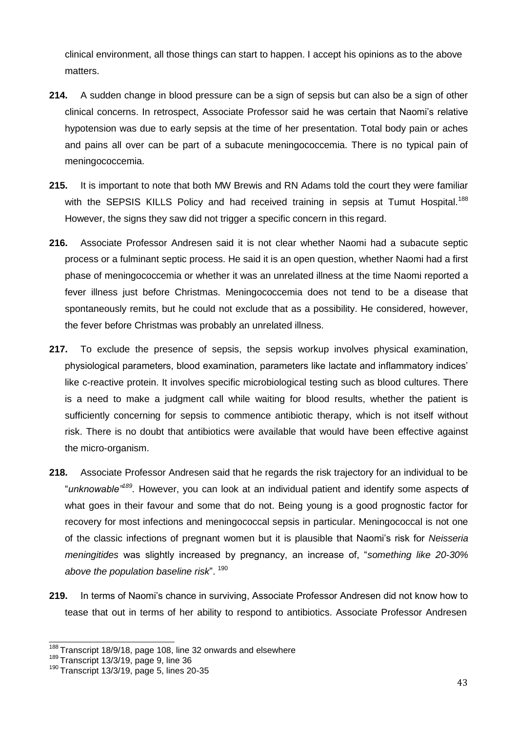clinical environment, all those things can start to happen. I accept his opinions as to the above matters.

- **214.** A sudden change in blood pressure can be a sign of sepsis but can also be a sign of other clinical concerns. In retrospect, Associate Professor said he was certain that Naomi's relative hypotension was due to early sepsis at the time of her presentation. Total body pain or aches and pains all over can be part of a subacute meningococcemia. There is no typical pain of meningococcemia.
- **215.** It is important to note that both MW Brewis and RN Adams told the court they were familiar with the SEPSIS KILLS Policy and had received training in sepsis at Tumut Hospital.<sup>188</sup> However, the signs they saw did not trigger a specific concern in this regard.
- **216.** Associate Professor Andresen said it is not clear whether Naomi had a subacute septic process or a fulminant septic process. He said it is an open question, whether Naomi had a first phase of meningococcemia or whether it was an unrelated illness at the time Naomi reported a fever illness just before Christmas. Meningococcemia does not tend to be a disease that spontaneously remits, but he could not exclude that as a possibility. He considered, however, the fever before Christmas was probably an unrelated illness.
- **217.** To exclude the presence of sepsis, the sepsis workup involves physical examination, physiological parameters, blood examination, parameters like lactate and inflammatory indices' like c-reactive protein. It involves specific microbiological testing such as blood cultures. There is a need to make a judgment call while waiting for blood results, whether the patient is sufficiently concerning for sepsis to commence antibiotic therapy, which is not itself without risk. There is no doubt that antibiotics were available that would have been effective against the micro-organism.
- **218.** Associate Professor Andresen said that he regards the risk trajectory for an individual to be "*unknowable"<sup>189</sup> .* However, you can look at an individual patient and identify some aspects of what goes in their favour and some that do not. Being young is a good prognostic factor for recovery for most infections and meningococcal sepsis in particular. Meningococcal is not one of the classic infections of pregnant women but it is plausible that Naomi's risk for *Neisseria meningitides* was slightly increased by pregnancy, an increase of, "*something like 20-30% above the population baseline risk*". <sup>190</sup>
- **219.** In terms of Naomi's chance in surviving, Associate Professor Andresen did not know how to tease that out in terms of her ability to respond to antibiotics. Associate Professor Andresen

 $188$  Transcript 18/9/18, page 108, line 32 onwards and elsewhere

 $189$  Transcript 13/3/19, page 9, line 36

 $190$  Transcript 13/3/19, page 5, lines 20-35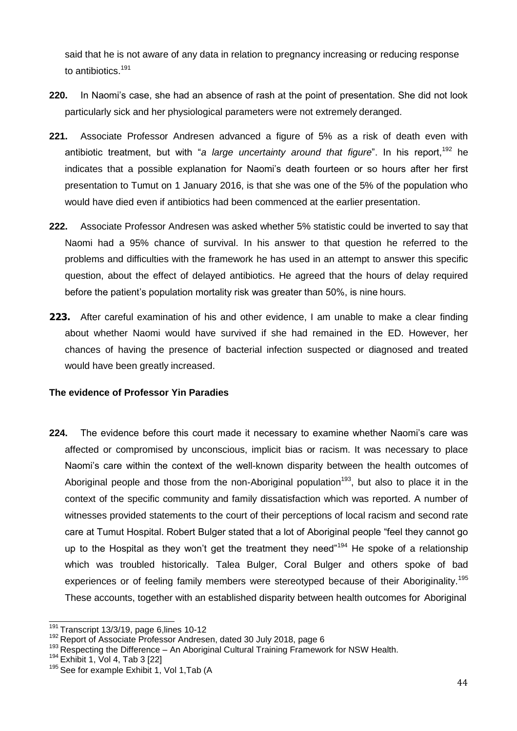said that he is not aware of any data in relation to pregnancy increasing or reducing response to antibiotics.<sup>191</sup>

- **220.** In Naomi's case, she had an absence of rash at the point of presentation. She did not look particularly sick and her physiological parameters were not extremely deranged.
- **221.** Associate Professor Andresen advanced a figure of 5% as a risk of death even with antibiotic treatment, but with "*a large uncertainty around that figure*". In his report,<sup>192</sup> he indicates that a possible explanation for Naomi's death fourteen or so hours after her first presentation to Tumut on 1 January 2016, is that she was one of the 5% of the population who would have died even if antibiotics had been commenced at the earlier presentation.
- **222.** Associate Professor Andresen was asked whether 5% statistic could be inverted to say that Naomi had a 95% chance of survival. In his answer to that question he referred to the problems and difficulties with the framework he has used in an attempt to answer this specific question, about the effect of delayed antibiotics. He agreed that the hours of delay required before the patient's population mortality risk was greater than 50%, is nine hours.
- **223.** After careful examination of his and other evidence, I am unable to make a clear finding about whether Naomi would have survived if she had remained in the ED. However, her chances of having the presence of bacterial infection suspected or diagnosed and treated would have been greatly increased.

# <span id="page-43-0"></span>**The evidence of Professor Yin Paradies**

**224.** The evidence before this court made it necessary to examine whether Naomi's care was affected or compromised by unconscious, implicit bias or racism. It was necessary to place Naomi's care within the context of the well-known disparity between the health outcomes of Aboriginal people and those from the non-Aboriginal population<sup>193</sup>, but also to place it in the context of the specific community and family dissatisfaction which was reported. A number of witnesses provided statements to the court of their perceptions of local racism and second rate care at Tumut Hospital. Robert Bulger stated that a lot of Aboriginal people "feel they cannot go up to the Hospital as they won't get the treatment they need"<sup>194</sup> He spoke of a relationship which was troubled historically. Talea Bulger, Coral Bulger and others spoke of bad experiences or of feeling family members were stereotyped because of their Aboriginality.<sup>195</sup> These accounts, together with an established disparity between health outcomes for Aboriginal

 $\frac{191}{191}$ Transcript 13/3/19, page 6, lines 10-12

<sup>&</sup>lt;sup>192</sup> Report of Associate Professor Andresen, dated 30 July 2018, page 6

 $193$  Respecting the Difference – An Aboriginal Cultural Training Framework for NSW Health.

 $194$  Exhibit 1, Vol 4, Tab 3 [22]

<sup>&</sup>lt;sup>195</sup> See for example Exhibit 1, Vol 1, Tab (A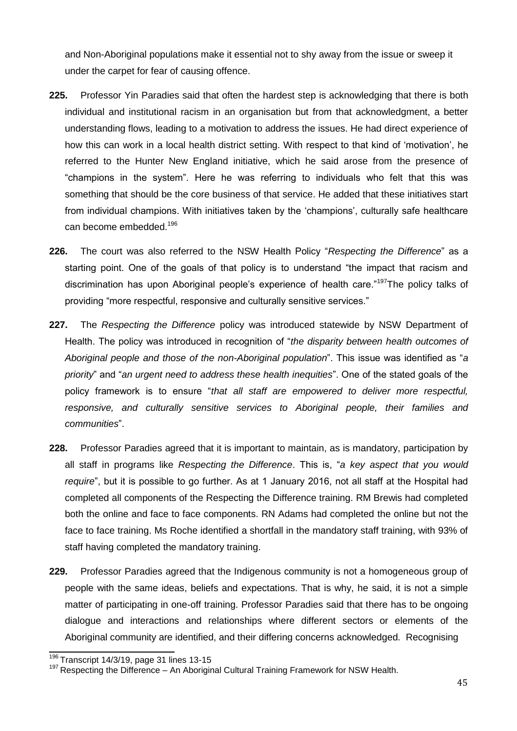and Non-Aboriginal populations make it essential not to shy away from the issue or sweep it under the carpet for fear of causing offence.

- **225.** Professor Yin Paradies said that often the hardest step is acknowledging that there is both individual and institutional racism in an organisation but from that acknowledgment, a better understanding flows, leading to a motivation to address the issues. He had direct experience of how this can work in a local health district setting. With respect to that kind of 'motivation', he referred to the Hunter New England initiative, which he said arose from the presence of "champions in the system". Here he was referring to individuals who felt that this was something that should be the core business of that service. He added that these initiatives start from individual champions. With initiatives taken by the 'champions', culturally safe healthcare can become embedded.<sup>196</sup>
- **226.** The court was also referred to the NSW Health Policy "*Respecting the Difference*" as a starting point. One of the goals of that policy is to understand "the impact that racism and discrimination has upon Aboriginal people's experience of health care."<sup>197</sup>The policy talks of providing "more respectful, responsive and culturally sensitive services."
- **227.** The *Respecting the Difference* policy was introduced statewide by NSW Department of Health. The policy was introduced in recognition of "*the disparity between health outcomes of Aboriginal people and those of the non-Aboriginal population*". This issue was identified as "*a priority*" and "*an urgent need to address these health inequities*". One of the stated goals of the policy framework is to ensure "*that all staff are empowered to deliver more respectful, responsive, and culturally sensitive services to Aboriginal people, their families and communities*".
- **228.** Professor Paradies agreed that it is important to maintain, as is mandatory, participation by all staff in programs like *Respecting the Difference*. This is, "*a key aspect that you would require*", but it is possible to go further. As at 1 January 2016, not all staff at the Hospital had completed all components of the Respecting the Difference training. RM Brewis had completed both the online and face to face components. RN Adams had completed the online but not the face to face training. Ms Roche identified a shortfall in the mandatory staff training, with 93% of staff having completed the mandatory training.
- **229.** Professor Paradies agreed that the Indigenous community is not a homogeneous group of people with the same ideas, beliefs and expectations. That is why, he said, it is not a simple matter of participating in one-off training. Professor Paradies said that there has to be ongoing dialogue and interactions and relationships where different sectors or elements of the Aboriginal community are identified, and their differing concerns acknowledged. Recognising

 $196$  Transcript 14/3/19, page 31 lines 13-15

 $197$  Respecting the Difference – An Aboriginal Cultural Training Framework for NSW Health.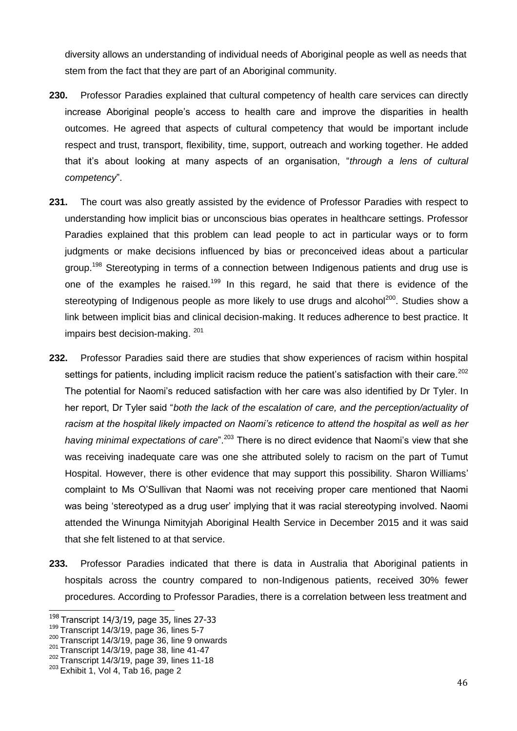diversity allows an understanding of individual needs of Aboriginal people as well as needs that stem from the fact that they are part of an Aboriginal community.

- **230.** Professor Paradies explained that cultural competency of health care services can directly increase Aboriginal people's access to health care and improve the disparities in health outcomes. He agreed that aspects of cultural competency that would be important include respect and trust, transport, flexibility, time, support, outreach and working together. He added that it's about looking at many aspects of an organisation, "*through a lens of cultural competency*".
- **231.** The court was also greatly assisted by the evidence of Professor Paradies with respect to understanding how implicit bias or unconscious bias operates in healthcare settings. Professor Paradies explained that this problem can lead people to act in particular ways or to form judgments or make decisions influenced by bias or preconceived ideas about a particular group.<sup>198</sup> Stereotyping in terms of a connection between Indigenous patients and drug use is one of the examples he raised.<sup>199</sup> In this regard, he said that there is evidence of the stereotyping of Indigenous people as more likely to use drugs and alcohol<sup>200</sup>. Studies show a link between implicit bias and clinical decision-making. It reduces adherence to best practice. It impairs best decision-making. 201
- **232.** Professor Paradies said there are studies that show experiences of racism within hospital settings for patients, including implicit racism reduce the patient's satisfaction with their care.<sup>202</sup> The potential for Naomi's reduced satisfaction with her care was also identified by Dr Tyler. In her report, Dr Tyler said "*both the lack of the escalation of care, and the perception/actuality of racism at the hospital likely impacted on Naomi's reticence to attend the hospital as well as her*  having minimal expectations of care".<sup>203</sup> There is no direct evidence that Naomi's view that she was receiving inadequate care was one she attributed solely to racism on the part of Tumut Hospital. However, there is other evidence that may support this possibility. Sharon Williams' complaint to Ms O'Sullivan that Naomi was not receiving proper care mentioned that Naomi was being 'stereotyped as a drug user' implying that it was racial stereotyping involved. Naomi attended the Winunga Nimityjah Aboriginal Health Service in December 2015 and it was said that she felt listened to at that service.
- **233.** Professor Paradies indicated that there is data in Australia that Aboriginal patients in hospitals across the country compared to non-Indigenous patients, received 30% fewer procedures. According to Professor Paradies, there is a correlation between less treatment and

 $198$  Transcript 14/3/19, page 35, lines 27-33

 $199$  Transcript 14/3/19, page 36, lines 5-7

 $200$  Transcript 14/3/19, page 36, line 9 onwards

 $201$  Transcript 14/3/19, page 38, line 41-47

 $202$  Transcript 14/3/19, page 39, lines 11-18

 $203$  Exhibit 1, Vol 4, Tab 16, page 2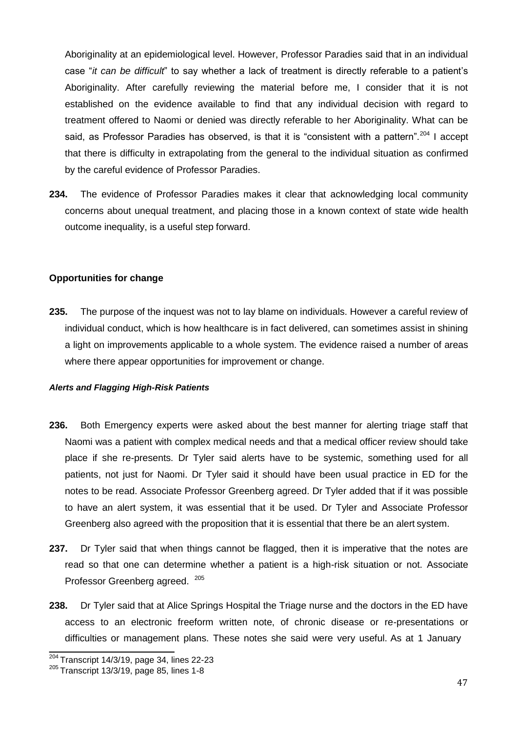Aboriginality at an epidemiological level. However, Professor Paradies said that in an individual case "*it can be difficult*" to say whether a lack of treatment is directly referable to a patient's Aboriginality. After carefully reviewing the material before me, I consider that it is not established on the evidence available to find that any individual decision with regard to treatment offered to Naomi or denied was directly referable to her Aboriginality. What can be said, as Professor Paradies has observed, is that it is "consistent with a pattern".<sup>204</sup> I accept that there is difficulty in extrapolating from the general to the individual situation as confirmed by the careful evidence of Professor Paradies.

**234.** The evidence of Professor Paradies makes it clear that acknowledging local community concerns about unequal treatment, and placing those in a known context of state wide health outcome inequality, is a useful step forward.

#### <span id="page-46-0"></span>**Opportunities for change**

**235.** The purpose of the inquest was not to lay blame on individuals. However a careful review of individual conduct, which is how healthcare is in fact delivered, can sometimes assist in shining a light on improvements applicable to a whole system. The evidence raised a number of areas where there appear opportunities for improvement or change.

#### *Alerts and Flagging High-Risk Patients*

- **236.** Both Emergency experts were asked about the best manner for alerting triage staff that Naomi was a patient with complex medical needs and that a medical officer review should take place if she re-presents. Dr Tyler said alerts have to be systemic, something used for all patients, not just for Naomi. Dr Tyler said it should have been usual practice in ED for the notes to be read. Associate Professor Greenberg agreed. Dr Tyler added that if it was possible to have an alert system, it was essential that it be used. Dr Tyler and Associate Professor Greenberg also agreed with the proposition that it is essential that there be an alert system.
- **237.** Dr Tyler said that when things cannot be flagged, then it is imperative that the notes are read so that one can determine whether a patient is a high-risk situation or not. Associate Professor Greenberg agreed. <sup>205</sup>
- **238.** Dr Tyler said that at Alice Springs Hospital the Triage nurse and the doctors in the ED have access to an electronic freeform written note, of chronic disease or re-presentations or difficulties or management plans. These notes she said were very useful. As at 1 January

 $204$  Transcript 14/3/19, page 34, lines 22-23

 $205$  Transcript 13/3/19, page 85, lines 1-8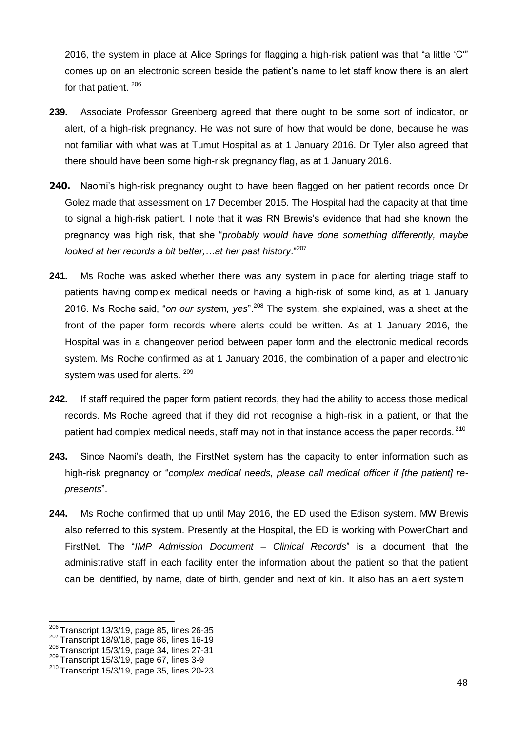2016, the system in place at Alice Springs for flagging a high-risk patient was that "a little 'C'" comes up on an electronic screen beside the patient's name to let staff know there is an alert for that patient. 206

- **239.** Associate Professor Greenberg agreed that there ought to be some sort of indicator, or alert, of a high-risk pregnancy. He was not sure of how that would be done, because he was not familiar with what was at Tumut Hospital as at 1 January 2016. Dr Tyler also agreed that there should have been some high-risk pregnancy flag, as at 1 January 2016.
- **240.** Naomi's high-risk pregnancy ought to have been flagged on her patient records once Dr Golez made that assessment on 17 December 2015. The Hospital had the capacity at that time to signal a high-risk patient. I note that it was RN Brewis's evidence that had she known the pregnancy was high risk, that she "*probably would have done something differently, maybe looked at her records a bit better,…at her past history*."<sup>207</sup>
- **241.** Ms Roche was asked whether there was any system in place for alerting triage staff to patients having complex medical needs or having a high-risk of some kind, as at 1 January 2016. Ms Roche said, "*on our system, yes*".<sup>208</sup> The system, she explained, was a sheet at the front of the paper form records where alerts could be written. As at 1 January 2016, the Hospital was in a changeover period between paper form and the electronic medical records system. Ms Roche confirmed as at 1 January 2016, the combination of a paper and electronic system was used for alerts. 209
- **242.** If staff required the paper form patient records, they had the ability to access those medical records. Ms Roche agreed that if they did not recognise a high-risk in a patient, or that the patient had complex medical needs, staff may not in that instance access the paper records. <sup>210</sup>
- **243.** Since Naomi's death, the FirstNet system has the capacity to enter information such as high-risk pregnancy or "*complex medical needs, please call medical officer if [the patient] represents*".
- **244.** Ms Roche confirmed that up until May 2016, the ED used the Edison system. MW Brewis also referred to this system. Presently at the Hospital, the ED is working with PowerChart and FirstNet. The "*IMP Admission Document – Clinical Records*" is a document that the administrative staff in each facility enter the information about the patient so that the patient can be identified, by name, date of birth, gender and next of kin. It also has an alert system

 $206$  Transcript 13/3/19, page 85, lines 26-35

<sup>207</sup>Transcript 18/9/18, page 86, lines 16-19

 $208$  Transcript 15/3/19, page 34, lines 27-31

 $209$  Transcript 15/3/19, page 67, lines 3-9

 $210$  Transcript 15/3/19, page 35, lines 20-23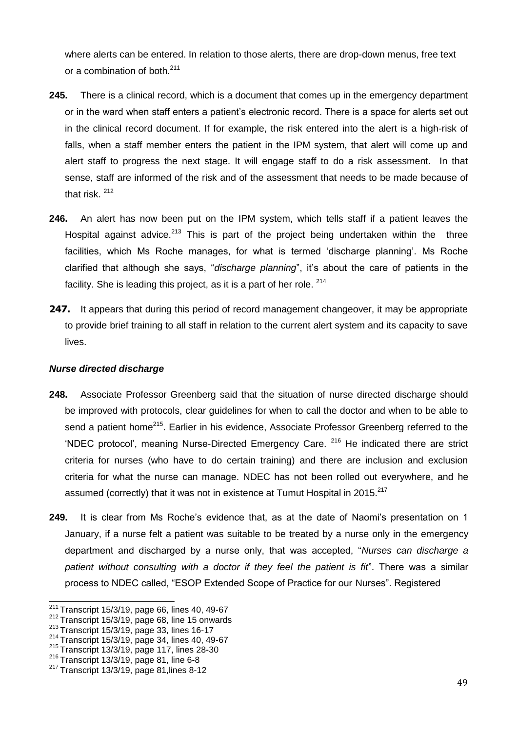where alerts can be entered. In relation to those alerts, there are drop-down menus, free text or a combination of both.<sup>211</sup>

- **245.** There is a clinical record, which is a document that comes up in the emergency department or in the ward when staff enters a patient's electronic record. There is a space for alerts set out in the clinical record document. If for example, the risk entered into the alert is a high-risk of falls, when a staff member enters the patient in the IPM system, that alert will come up and alert staff to progress the next stage. It will engage staff to do a risk assessment. In that sense, staff are informed of the risk and of the assessment that needs to be made because of that risk. <sup>212</sup>
- **246.** An alert has now been put on the IPM system, which tells staff if a patient leaves the Hospital against advice.<sup>213</sup> This is part of the project being undertaken within the three facilities, which Ms Roche manages, for what is termed 'discharge planning'. Ms Roche clarified that although she says, "*discharge planning*", it's about the care of patients in the facility. She is leading this project, as it is a part of her role. <sup>214</sup>
- **247.** It appears that during this period of record management changeover, it may be appropriate to provide brief training to all staff in relation to the current alert system and its capacity to save lives.

### <span id="page-48-0"></span>*Nurse directed discharge*

- **248.** Associate Professor Greenberg said that the situation of nurse directed discharge should be improved with protocols, clear guidelines for when to call the doctor and when to be able to send a patient home<sup>215</sup>. Earlier in his evidence, Associate Professor Greenberg referred to the 'NDEC protocol', meaning Nurse-Directed Emergency Care. <sup>216</sup> He indicated there are strict criteria for nurses (who have to do certain training) and there are inclusion and exclusion criteria for what the nurse can manage. NDEC has not been rolled out everywhere, and he assumed (correctly) that it was not in existence at Tumut Hospital in 2015. $^{217}$
- **249.** It is clear from Ms Roche's evidence that, as at the date of Naomi's presentation on 1 January, if a nurse felt a patient was suitable to be treated by a nurse only in the emergency department and discharged by a nurse only, that was accepted, "*Nurses can discharge a patient without consulting with a doctor if they feel the patient is fit*". There was a similar process to NDEC called, "ESOP Extended Scope of Practice for our Nurses". Registered

<sup>211</sup>Transcript 15/3/19, page 66, lines 40, 49-67

<sup>212</sup>Transcript 15/3/19, page 68, line 15 onwards

<sup>213</sup> Transcript 15/3/19, page 33, lines 16-17

<sup>214</sup>Transcript 15/3/19, page 34, lines 40, 49-67

 $215$  Transcript 13/3/19, page 117, lines 28-30

 $^{216}$  Transcript 13/3/19, page 81, line 6-8

 $217$  Transcript 13/3/19, page 81, lines 8-12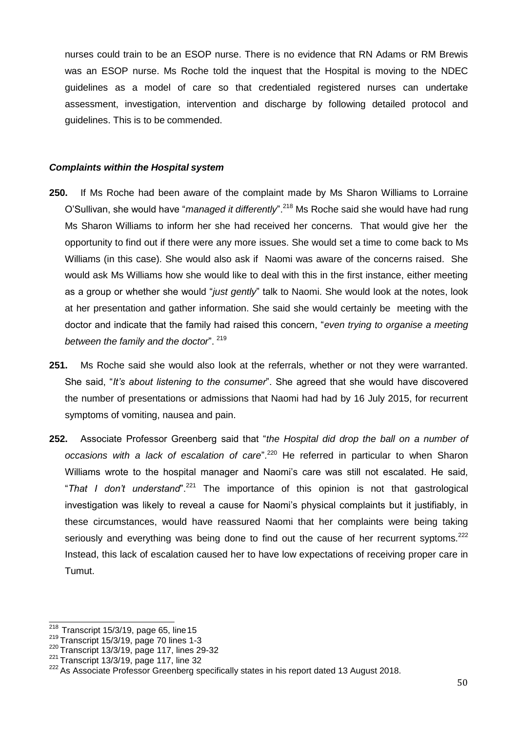nurses could train to be an ESOP nurse. There is no evidence that RN Adams or RM Brewis was an ESOP nurse. Ms Roche told the inquest that the Hospital is moving to the NDEC guidelines as a model of care so that credentialed registered nurses can undertake assessment, investigation, intervention and discharge by following detailed protocol and guidelines. This is to be commended.

#### <span id="page-49-0"></span>*Complaints within the Hospital system*

- **250.** If Ms Roche had been aware of the complaint made by Ms Sharon Williams to Lorraine O'Sullivan, she would have "*managed it differently*".<sup>218</sup> Ms Roche said she would have had rung Ms Sharon Williams to inform her she had received her concerns. That would give her the opportunity to find out if there were any more issues. She would set a time to come back to Ms Williams (in this case). She would also ask if Naomi was aware of the concerns raised. She would ask Ms Williams how she would like to deal with this in the first instance, either meeting as a group or whether she would "*just gently*" talk to Naomi. She would look at the notes, look at her presentation and gather information. She said she would certainly be meeting with the doctor and indicate that the family had raised this concern, "*even trying to organise a meeting between the family and the doctor*". <sup>219</sup>
- **251.** Ms Roche said she would also look at the referrals, whether or not they were warranted. She said, "*It's about listening to the consumer*". She agreed that she would have discovered the number of presentations or admissions that Naomi had had by 16 July 2015, for recurrent symptoms of vomiting, nausea and pain.
- **252.** Associate Professor Greenberg said that "*the Hospital did drop the ball on a number of occasions with a lack of escalation of care*".<sup>220</sup> He referred in particular to when Sharon Williams wrote to the hospital manager and Naomi's care was still not escalated. He said, "*That I don't understand*".<sup>221</sup> The importance of this opinion is not that gastrological investigation was likely to reveal a cause for Naomi's physical complaints but it justifiably, in these circumstances, would have reassured Naomi that her complaints were being taking seriously and everything was being done to find out the cause of her recurrent syptoms.<sup>222</sup> Instead, this lack of escalation caused her to have low expectations of receiving proper care in Tumut.

 $218$  Transcript 15/3/19, page 65, line 15

 $219$  Transcript 15/3/19, page 70 lines 1-3

 $220$  Transcript 13/3/19, page 117, lines 29-32

 $221$  Transcript 13/3/19, page 117, line 32

<sup>&</sup>lt;sup>222</sup> As Associate Professor Greenberg specifically states in his report dated 13 August 2018.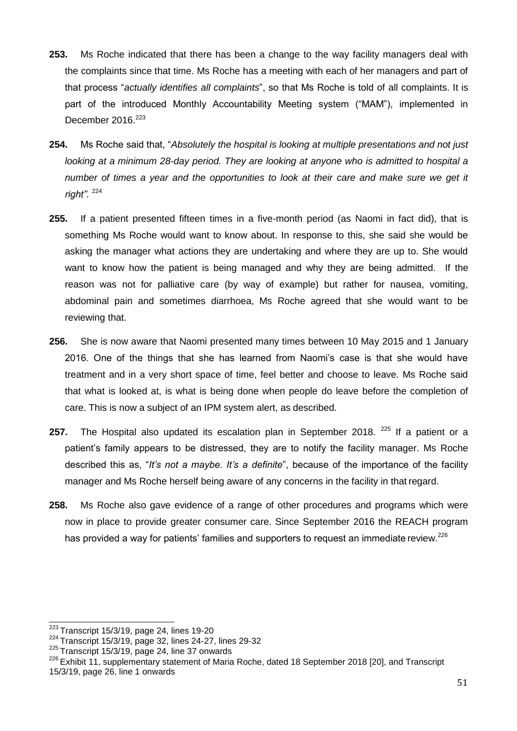- **253.** Ms Roche indicated that there has been a change to the way facility managers deal with the complaints since that time. Ms Roche has a meeting with each of her managers and part of that process "*actually identifies all complaints*", so that Ms Roche is told of all complaints. It is part of the introduced Monthly Accountability Meeting system ("MAM"), implemented in December 2016.<sup>223</sup>
- **254.** Ms Roche said that, "*Absolutely the hospital is looking at multiple presentations and not just looking at a minimum 28-day period. They are looking at anyone who is admitted to hospital a number of times a year and the opportunities to look at their care and make sure we get it right".* <sup>224</sup>
- **255.** If a patient presented fifteen times in a five-month period (as Naomi in fact did), that is something Ms Roche would want to know about. In response to this, she said she would be asking the manager what actions they are undertaking and where they are up to. She would want to know how the patient is being managed and why they are being admitted. If the reason was not for palliative care (by way of example) but rather for nausea, vomiting, abdominal pain and sometimes diarrhoea, Ms Roche agreed that she would want to be reviewing that.
- **256.** She is now aware that Naomi presented many times between 10 May 2015 and 1 January 2016. One of the things that she has learned from Naomi's case is that she would have treatment and in a very short space of time, feel better and choose to leave. Ms Roche said that what is looked at, is what is being done when people do leave before the completion of care. This is now a subject of an IPM system alert, as described.
- **257.** The Hospital also updated its escalation plan in September 2018. <sup>225</sup> If a patient or a patient's family appears to be distressed, they are to notify the facility manager. Ms Roche described this as, "*It's not a maybe. It's a definite*", because of the importance of the facility manager and Ms Roche herself being aware of any concerns in the facility in that regard.
- **258.** Ms Roche also gave evidence of a range of other procedures and programs which were now in place to provide greater consumer care. Since September 2016 the REACH program has provided a way for patients' families and supporters to request an immediate review.<sup>226</sup>

<sup>223</sup>Transcript 15/3/19, page 24, lines 19-20

<sup>224</sup>Transcript 15/3/19, page 32, lines 24-27, lines 29-32

 $225$  Transcript 15/3/19, page 24, line 37 onwards

<sup>&</sup>lt;sup>226</sup> Exhibit 11, supplementary statement of Maria Roche, dated 18 September 2018 [20], and Transcript 15/3/19, page 26, line 1 onwards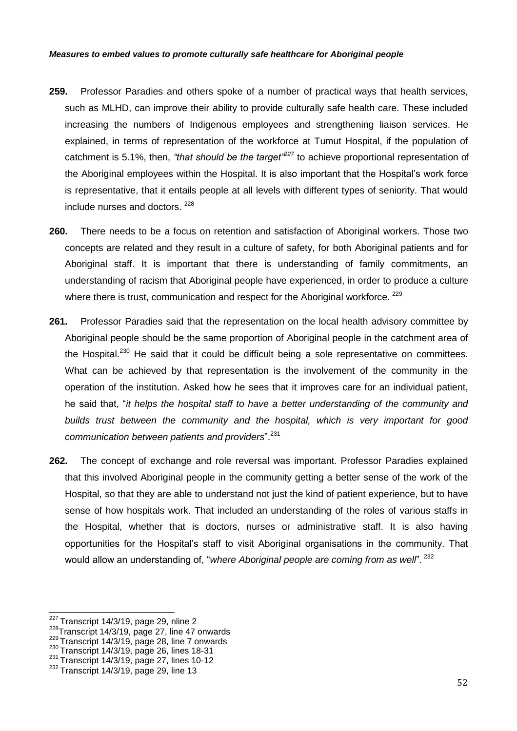#### *Measures to embed values to promote culturally safe healthcare for Aboriginal people*

- **259.** Professor Paradies and others spoke of a number of practical ways that health services, such as MLHD, can improve their ability to provide culturally safe health care. These included increasing the numbers of Indigenous employees and strengthening liaison services. He explained, in terms of representation of the workforce at Tumut Hospital, if the population of catchment is 5.1%, then, *"that should be the target"<sup>227</sup>* to achieve proportional representation of the Aboriginal employees within the Hospital. It is also important that the Hospital's work force is representative, that it entails people at all levels with different types of seniority. That would include nurses and doctors. <sup>228</sup>
- **260.** There needs to be a focus on retention and satisfaction of Aboriginal workers. Those two concepts are related and they result in a culture of safety, for both Aboriginal patients and for Aboriginal staff. It is important that there is understanding of family commitments, an understanding of racism that Aboriginal people have experienced, in order to produce a culture where there is trust, communication and respect for the Aboriginal workforce. <sup>229</sup>
- **261.** Professor Paradies said that the representation on the local health advisory committee by Aboriginal people should be the same proportion of Aboriginal people in the catchment area of the Hospital.<sup>230</sup> He said that it could be difficult being a sole representative on committees. What can be achieved by that representation is the involvement of the community in the operation of the institution. Asked how he sees that it improves care for an individual patient, he said that, "*it helps the hospital staff to have a better understanding of the community and builds trust between the community and the hospital, which is very important for good communication between patients and providers*".<sup>231</sup>
- **262.** The concept of exchange and role reversal was important. Professor Paradies explained that this involved Aboriginal people in the community getting a better sense of the work of the Hospital, so that they are able to understand not just the kind of patient experience, but to have sense of how hospitals work. That included an understanding of the roles of various staffs in the Hospital, whether that is doctors, nurses or administrative staff. It is also having opportunities for the Hospital's staff to visit Aboriginal organisations in the community. That would allow an understanding of, "*where Aboriginal people are coming from as well*". <sup>232</sup>

 $231$  Transcript 14/3/19, page 27, lines 10-12

 $227$  Transcript 14/3/19, page 29, nline 2

 $228$ Transcript 14/3/19, page 27, line 47 onwards

<sup>229</sup> Transcript 14/3/19, page 28, line 7 onwards

<sup>230</sup> Transcript 14/3/19, page 26, lines 18-31

 $232$  Transcript 14/3/19, page 29, line 13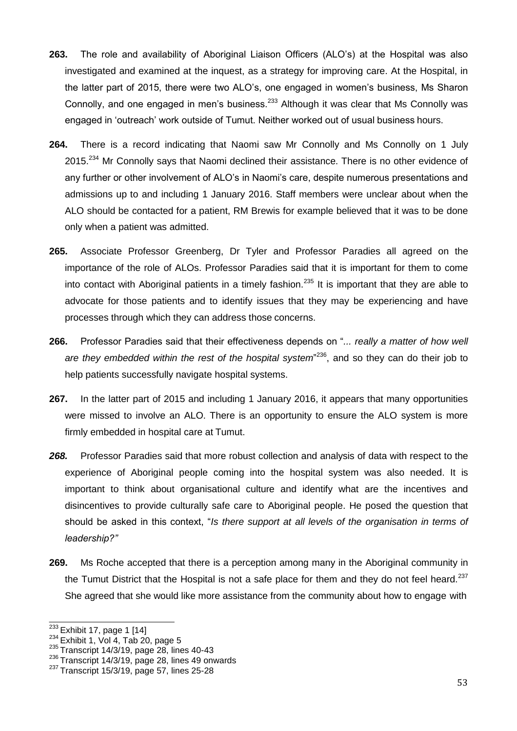- **263.** The role and availability of Aboriginal Liaison Officers (ALO's) at the Hospital was also investigated and examined at the inquest, as a strategy for improving care. At the Hospital, in the latter part of 2015, there were two ALO's, one engaged in women's business, Ms Sharon Connolly, and one engaged in men's business.<sup>233</sup> Although it was clear that Ms Connolly was engaged in 'outreach' work outside of Tumut. Neither worked out of usual business hours.
- **264.** There is a record indicating that Naomi saw Mr Connolly and Ms Connolly on 1 July 2015.<sup>234</sup> Mr Connolly says that Naomi declined their assistance. There is no other evidence of any further or other involvement of ALO's in Naomi's care, despite numerous presentations and admissions up to and including 1 January 2016. Staff members were unclear about when the ALO should be contacted for a patient, RM Brewis for example believed that it was to be done only when a patient was admitted.
- **265.** Associate Professor Greenberg, Dr Tyler and Professor Paradies all agreed on the importance of the role of ALOs. Professor Paradies said that it is important for them to come into contact with Aboriginal patients in a timely fashion.<sup>235</sup> It is important that they are able to advocate for those patients and to identify issues that they may be experiencing and have processes through which they can address those concerns.
- **266.** Professor Paradies said that their effectiveness depends on "*... really a matter of how well are they embedded within the rest of the hospital system*" <sup>236</sup>, and so they can do their job to help patients successfully navigate hospital systems.
- **267.** In the latter part of 2015 and including 1 January 2016, it appears that many opportunities were missed to involve an ALO. There is an opportunity to ensure the ALO system is more firmly embedded in hospital care at Tumut.
- *268.* Professor Paradies said that more robust collection and analysis of data with respect to the experience of Aboriginal people coming into the hospital system was also needed. It is important to think about organisational culture and identify what are the incentives and disincentives to provide culturally safe care to Aboriginal people. He posed the question that should be asked in this context, "*Is there support at all levels of the organisation in terms of leadership?"*
- **269.** Ms Roche accepted that there is a perception among many in the Aboriginal community in the Tumut District that the Hospital is not a safe place for them and they do not feel heard.<sup>237</sup> She agreed that she would like more assistance from the community about how to engage with

 $233$  Exhibit 17, page 1 [14]

 $234$  Exhibit 1, Vol 4, Tab 20, page 5

 $235$  Transcript 14/3/19, page 28, lines 40-43

 $236$  Transcript 14/3/19, page 28, lines 49 onwards

 $237$  Transcript 15/3/19, page 57, lines 25-28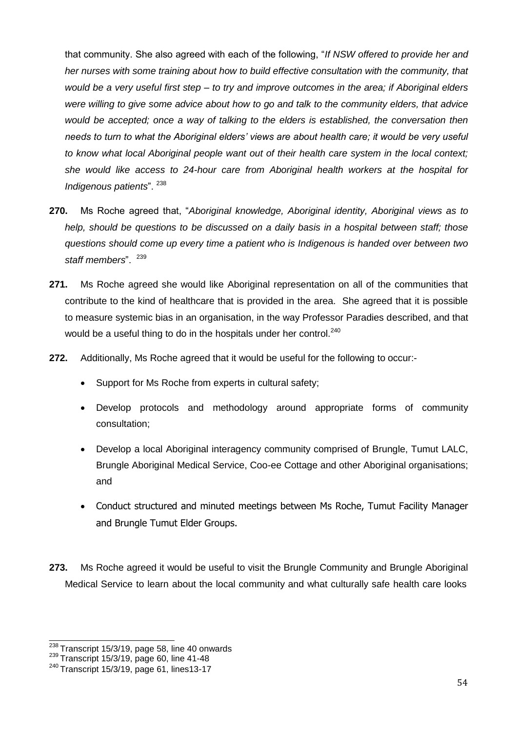that community. She also agreed with each of the following, "*If NSW offered to provide her and her nurses with some training about how to build effective consultation with the community, that would be a very useful first step – to try and improve outcomes in the area; if Aboriginal elders were willing to give some advice about how to go and talk to the community elders, that advice would be accepted; once a way of talking to the elders is established, the conversation then needs to turn to what the Aboriginal elders' views are about health care; it would be very useful to know what local Aboriginal people want out of their health care system in the local context; she would like access to 24-hour care from Aboriginal health workers at the hospital for Indigenous patients*". <sup>238</sup>

- **270.** Ms Roche agreed that, "*Aboriginal knowledge, Aboriginal identity, Aboriginal views as to help, should be questions to be discussed on a daily basis in a hospital between staff; those questions should come up every time a patient who is Indigenous is handed over between two*  staff members". <sup>239</sup>
- **271.** Ms Roche agreed she would like Aboriginal representation on all of the communities that contribute to the kind of healthcare that is provided in the area. She agreed that it is possible to measure systemic bias in an organisation, in the way Professor Paradies described, and that would be a useful thing to do in the hospitals under her control.<sup>240</sup>
- **272.** Additionally, Ms Roche agreed that it would be useful for the following to occur:-
	- Support for Ms Roche from experts in cultural safety;
	- Develop protocols and methodology around appropriate forms of community consultation;
	- Develop a local Aboriginal interagency community comprised of Brungle, Tumut LALC, Brungle Aboriginal Medical Service, Coo-ee Cottage and other Aboriginal organisations; and
	- Conduct structured and minuted meetings between Ms Roche, Tumut Facility Manager and Brungle Tumut Elder Groups.
- **273.** Ms Roche agreed it would be useful to visit the Brungle Community and Brungle Aboriginal Medical Service to learn about the local community and what culturally safe health care looks

<sup>&</sup>lt;sup>238</sup> Transcript 15/3/19, page 58, line 40 onwards

<sup>239</sup> Transcript 15/3/19, page 60, line 41-48

 $240$  Transcript 15/3/19, page 61, lines13-17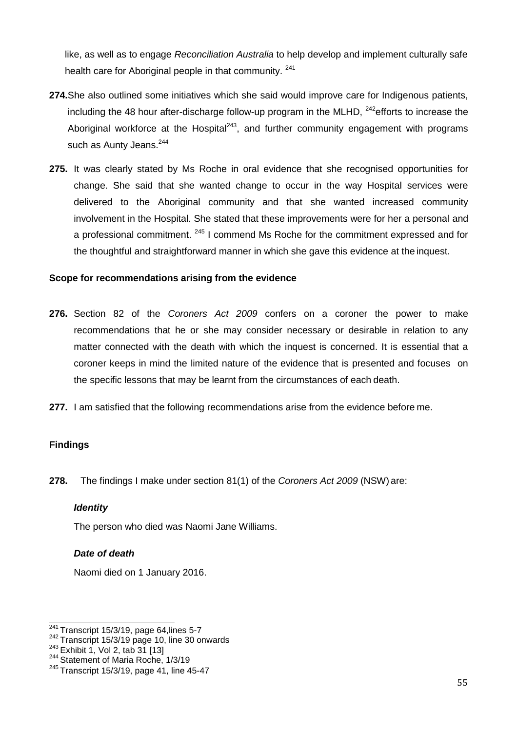like, as well as to engage *Reconciliation Australia* to help develop and implement culturally safe health care for Aboriginal people in that community. <sup>241</sup>

- **274.**She also outlined some initiatives which she said would improve care for Indigenous patients, including the 48 hour after-discharge follow-up program in the MLHD,  $^{242}$ efforts to increase the Aboriginal workforce at the Hospital<sup>243</sup>, and further community engagement with programs such as Aunty Jeans.<sup>244</sup>
- **275.** It was clearly stated by Ms Roche in oral evidence that she recognised opportunities for change. She said that she wanted change to occur in the way Hospital services were delivered to the Aboriginal community and that she wanted increased community involvement in the Hospital. She stated that these improvements were for her a personal and a professional commitment. <sup>245</sup> I commend Ms Roche for the commitment expressed and for the thoughtful and straightforward manner in which she gave this evidence at the inquest.

### **Scope for recommendations arising from the evidence**

- **276.** Section 82 of the *Coroners Act 2009* confers on a coroner the power to make recommendations that he or she may consider necessary or desirable in relation to any matter connected with the death with which the inquest is concerned. It is essential that a coroner keeps in mind the limited nature of the evidence that is presented and focuses on the specific lessons that may be learnt from the circumstances of each death.
- **277.** I am satisfied that the following recommendations arise from the evidence before me.

### <span id="page-54-0"></span>**Findings**

<span id="page-54-1"></span>**278.** The findings I make under section 81(1) of the *Coroners Act 2009* (NSW) are:

### *Identity*

The person who died was Naomi Jane Williams.

### <span id="page-54-2"></span>*Date of death*

Naomi died on 1 January 2016.

 $241$  Transcript 15/3/19, page 64, lines 5-7

 $242$  Transcript 15/3/19 page 10, line 30 onwards

 $243$  Exhibit 1, Vol 2, tab 31 [13]

<sup>&</sup>lt;sup>244</sup> Statement of Maria Roche, 1/3/19

 $245$  Transcript 15/3/19, page 41, line 45-47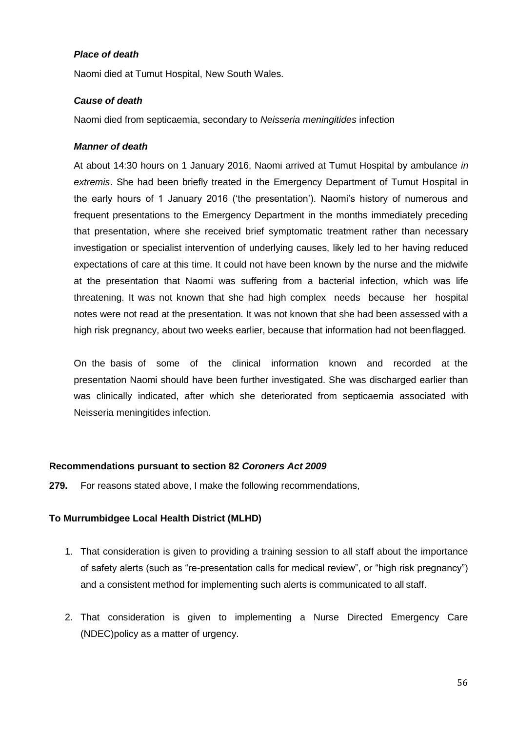### <span id="page-55-0"></span>*Place of death*

Naomi died at Tumut Hospital, New South Wales.

## <span id="page-55-1"></span>*Cause of death*

Naomi died from septicaemia, secondary to *Neisseria meningitides* infection

### <span id="page-55-2"></span>*Manner of death*

At about 14:30 hours on 1 January 2016, Naomi arrived at Tumut Hospital by ambulance *in extremis*. She had been briefly treated in the Emergency Department of Tumut Hospital in the early hours of 1 January 2016 ('the presentation'). Naomi's history of numerous and frequent presentations to the Emergency Department in the months immediately preceding that presentation, where she received brief symptomatic treatment rather than necessary investigation or specialist intervention of underlying causes, likely led to her having reduced expectations of care at this time. It could not have been known by the nurse and the midwife at the presentation that Naomi was suffering from a bacterial infection, which was life threatening. It was not known that she had high complex needs because her hospital notes were not read at the presentation. It was not known that she had been assessed with a high risk pregnancy, about two weeks earlier, because that information had not beenflagged.

On the basis of some of the clinical information known and recorded at the presentation Naomi should have been further investigated. She was discharged earlier than was clinically indicated, after which she deteriorated from septicaemia associated with Neisseria meningitides infection.

### **Recommendations pursuant to section 82** *Coroners Act 2009*

**279.** For reasons stated above, I make the following recommendations,

# **To Murrumbidgee Local Health District (MLHD)**

- 1. That consideration is given to providing a training session to all staff about the importance of safety alerts (such as "re-presentation calls for medical review", or "high risk pregnancy") and a consistent method for implementing such alerts is communicated to all staff.
- 2. That consideration is given to implementing a Nurse Directed Emergency Care (NDEC)policy as a matter of urgency.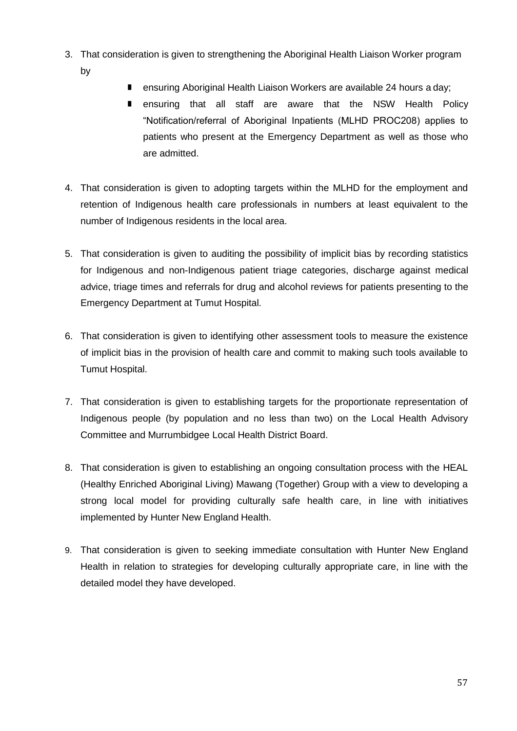- 3. That consideration is given to strengthening the Aboriginal Health Liaison Worker program by
	- ensuring Aboriginal Health Liaison Workers are available 24 hours a day;
	- **n** ensuring that all staff are aware that the NSW Health Policy "Notification/referral of Aboriginal Inpatients (MLHD PROC208) applies to patients who present at the Emergency Department as well as those who are admitted.
- 4. That consideration is given to adopting targets within the MLHD for the employment and retention of Indigenous health care professionals in numbers at least equivalent to the number of Indigenous residents in the local area.
- 5. That consideration is given to auditing the possibility of implicit bias by recording statistics for Indigenous and non-Indigenous patient triage categories, discharge against medical advice, triage times and referrals for drug and alcohol reviews for patients presenting to the Emergency Department at Tumut Hospital.
- 6. That consideration is given to identifying other assessment tools to measure the existence of implicit bias in the provision of health care and commit to making such tools available to Tumut Hospital.
- 7. That consideration is given to establishing targets for the proportionate representation of Indigenous people (by population and no less than two) on the Local Health Advisory Committee and Murrumbidgee Local Health District Board.
- 8. That consideration is given to establishing an ongoing consultation process with the HEAL (Healthy Enriched Aboriginal Living) Mawang (Together) Group with a view to developing a strong local model for providing culturally safe health care, in line with initiatives implemented by Hunter New England Health.
- 9. That consideration is given to seeking immediate consultation with Hunter New England Health in relation to strategies for developing culturally appropriate care, in line with the detailed model they have developed.